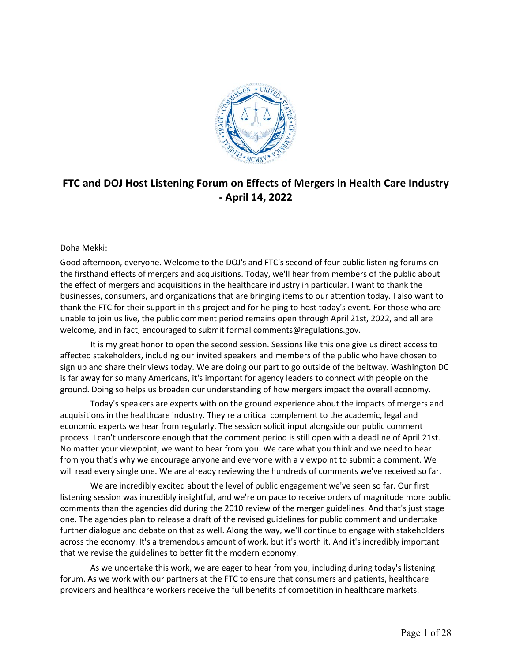

# **FTC and DOJ Host Listening Forum on Effects of Mergers in Health Care Industry - April 14, 2022**

# Doha Mekki:

 Good afternoon, everyone. Welcome to the DOJ's and FTC's second of four public listening forums on the firsthand effects of mergers and acquisitions. Today, we'll hear from members of the public about the effect of mergers and acquisitions in the healthcare industry in particular. I want to thank the businesses, consumers, and organizations that are bringing items to our attention today. I also want to thank the FTC for their support in this project and for helping to host today's event. For those who are unable to join us live, the public comment period remains open through April 21st, 2022, and all are welcome, and in fact, encouraged to submit formal [comments@regulations.gov.](mailto:comments@regulations.gov)

 It is my great honor to open the second session. Sessions like this one give us direct access to affected stakeholders, including our invited speakers and members of the public who have chosen to sign up and share their views today. We are doing our part to go outside of the beltway. Washington DC is far away for so many Americans, it's important for agency leaders to connect with people on the ground. Doing so helps us broaden our understanding of how mergers impact the overall economy.

 Today's speakers are experts with on the ground experience about the impacts of mergers and acquisitions in the healthcare industry. They're a critical complement to the academic, legal and economic experts we hear from regularly. The session solicit input alongside our public comment process. I can't underscore enough that the comment period is still open with a deadline of April 21st. No matter your viewpoint, we want to hear from you. We care what you think and we need to hear will read every single one. We are already reviewing the hundreds of comments we've received so far. from you that's why we encourage anyone and everyone with a viewpoint to submit a comment. We

 We are incredibly excited about the level of public engagement we've seen so far. Our first listening session was incredibly insightful, and we're on pace to receive orders of magnitude more public comments than the agencies did during the 2010 review of the merger guidelines. And that's just stage one. The agencies plan to release a draft of the revised guidelines for public comment and undertake further dialogue and debate on that as well. Along the way, we'll continue to engage with stakeholders across the economy. It's a tremendous amount of work, but it's worth it. And it's incredibly important that we revise the guidelines to better fit the modern economy.

 As we undertake this work, we are eager to hear from you, including during today's listening providers and healthcare workers receive the full benefits of competition in healthcare markets. forum. As we work with our partners at the FTC to ensure that consumers and patients, healthcare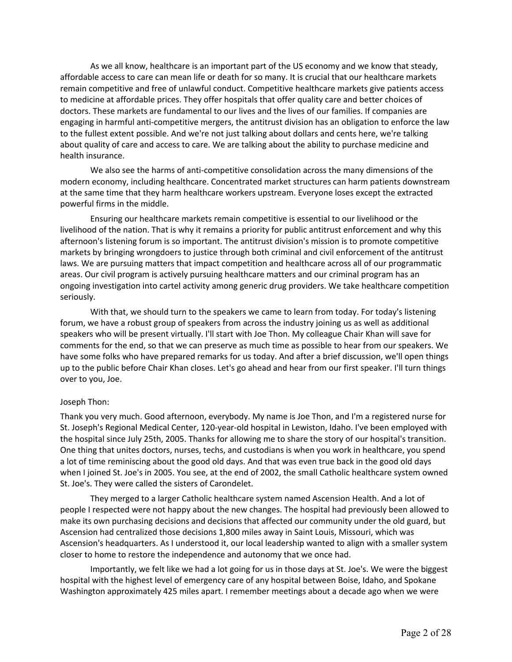As we all know, healthcare is an important part of the US economy and we know that steady, affordable access to care can mean life or death for so many. It is crucial that our healthcare markets remain competitive and free of unlawful conduct. Competitive healthcare markets give patients access to medicine at affordable prices. They offer hospitals that offer quality care and better choices of doctors. These markets are fundamental to our lives and the lives of our families. If companies are engaging in harmful anti-competitive mergers, the antitrust division has an obligation to enforce the law to the fullest extent possible. And we're not just talking about dollars and cents here, we're talking about quality of care and access to care. We are talking about the ability to purchase medicine and health insurance.

 We also see the harms of anti-competitive consolidation across the many dimensions of the modern economy, including healthcare. Concentrated market structures can harm patients downstream at the same time that they harm healthcare workers upstream. Everyone loses except the extracted powerful firms in the middle.

 Ensuring our healthcare markets remain competitive is essential to our livelihood or the livelihood of the nation. That is why it remains a priority for public antitrust enforcement and why this afternoon's listening forum is so important. The antitrust division's mission is to promote competitive markets by bringing wrongdoers to justice through both criminal and civil enforcement of the antitrust areas. Our civil program is actively pursuing healthcare matters and our criminal program has an ongoing investigation into cartel activity among generic drug providers. We take healthcare competition laws. We are pursuing matters that impact competition and healthcare across all of our programmatic seriously.

 With that, we should turn to the speakers we came to learn from today. For today's listening speakers who will be present virtually. I'll start with Joe Thon. My colleague Chair Khan will save for comments for the end, so that we can preserve as much time as possible to hear from our speakers. We have some folks who have prepared remarks for us today. And after a brief discussion, we'll open things up to the public before Chair Khan closes. Let's go ahead and hear from our first speaker. I'll turn things forum, we have a robust group of speakers from across the industry joining us as well as additional over to you, Joe.

## Joseph Thon:

 Thank you very much. Good afternoon, everybody. My name is Joe Thon, and I'm a registered nurse for St. Joseph's Regional Medical Center, 120-year-old hospital in Lewiston, Idaho. I've been employed with the hospital since July 25th, 2005. Thanks for allowing me to share the story of our hospital's transition. One thing that unites doctors, nurses, techs, and custodians is when you work in healthcare, you spend a lot of time reminiscing about the good old days. And that was even true back in the good old days when I joined St. Joe's in 2005. You see, at the end of 2002, the small Catholic healthcare system owned St. Joe's. They were called the sisters of Carondelet.

 They merged to a larger Catholic healthcare system named Ascension Health. And a lot of people I respected were not happy about the new changes. The hospital had previously been allowed to make its own purchasing decisions and decisions that affected our community under the old guard, but Ascension had centralized those decisions 1,800 miles away in Saint Louis, Missouri, which was Ascension's headquarters. As I understood it, our local leadership wanted to align with a smaller system closer to home to restore the independence and autonomy that we once had.

 Importantly, we felt like we had a lot going for us in those days at St. Joe's. We were the biggest hospital with the highest level of emergency care of any hospital between Boise, Idaho, and Spokane Washington approximately 425 miles apart. I remember meetings about a decade ago when we were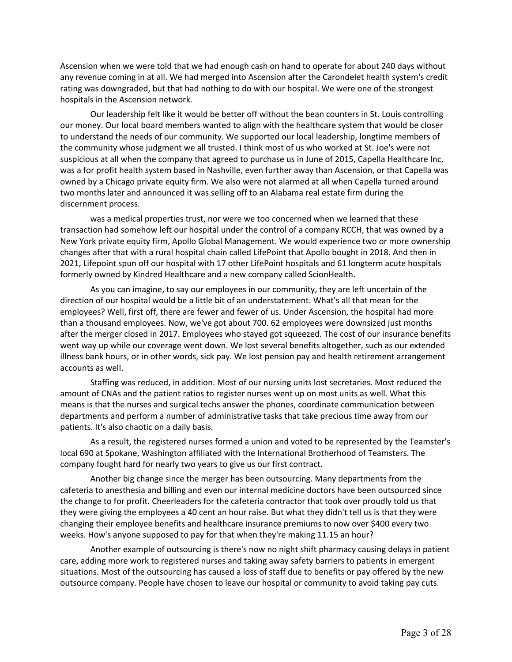Ascension when we were told that we had enough cash on hand to operate for about 240 days without any revenue coming in at all. We had merged into Ascension after the Carondelet health system's credit rating was downgraded, but that had nothing to do with our hospital. We were one of the strongest hospitals in the Ascension network.

 Our leadership felt like it would be better off without the bean counters in St. Louis controlling our money. Our local board members wanted to align with the healthcare system that would be closer to understand the needs of our community. We supported our local leadership, longtime members of the community whose judgment we all trusted. I think most of us who worked at St. Joe's were not suspicious at all when the company that agreed to purchase us in June of 2015, Capella Healthcare Inc, was a for profit health system based in Nashville, even further away than Ascension, or that Capella was owned by a Chicago private equity firm. We also were not alarmed at all when Capella turned around two months later and announced it was selling off to an Alabama real estate firm during the discernment process.

 was a medical properties trust, nor were we too concerned when we learned that these transaction had somehow left our hospital under the control of a company RCCH, that was owned by a New York private equity firm, Apollo Global Management. We would experience two or more ownership changes after that with a rural hospital chain called LifePoint that Apollo bought in 2018. And then in 2021, Lifepoint spun off our hospital with 17 other LifePoint hospitals and 61 longterm acute hospitals formerly owned by Kindred Healthcare and a new company called ScionHealth.

 As you can imagine, to say our employees in our community, they are left uncertain of the direction of our hospital would be a little bit of an understatement. What's all that mean for the employees? Well, first off, there are fewer and fewer of us. Under Ascension, the hospital had more than a thousand employees. Now, we've got about 700. 62 employees were downsized just months after the merger closed in 2017. Employees who stayed got squeezed. The cost of our insurance benefits went way up while our coverage went down. We lost several benefits altogether, such as our extended illness bank hours, or in other words, sick pay. We lost pension pay and health retirement arrangement accounts as well.

 means is that the nurses and surgical techs answer the phones, coordinate communication between departments and perform a number of administrative tasks that take precious time away from our Staffing was reduced, in addition. Most of our nursing units lost secretaries. Most reduced the amount of CNAs and the patient ratios to register nurses went up on most units as well. What this patients. It's also chaotic on a daily basis.

 As a result, the registered nurses formed a union and voted to be represented by the Teamster's local 690 at Spokane, Washington affiliated with the International Brotherhood of Teamsters. The company fought hard for nearly two years to give us our first contract.

 Another big change since the merger has been outsourcing. Many departments from the cafeteria to anesthesia and billing and even our internal medicine doctors have been outsourced since the change to for profit. Cheerleaders for the cafeteria contractor that took over proudly told us that they were giving the employees a 40 cent an hour raise. But what they didn't tell us is that they were changing their employee benefits and healthcare insurance premiums to now over \$400 every two weeks. How's anyone supposed to pay for that when they're making 11.15 an hour?

 Another example of outsourcing is there's now no night shift pharmacy causing delays in patient care, adding more work to registered nurses and taking away safety barriers to patients in emergent situations. Most of the outsourcing has caused a loss of staff due to benefits or pay offered by the new outsource company. People have chosen to leave our hospital or community to avoid taking pay cuts.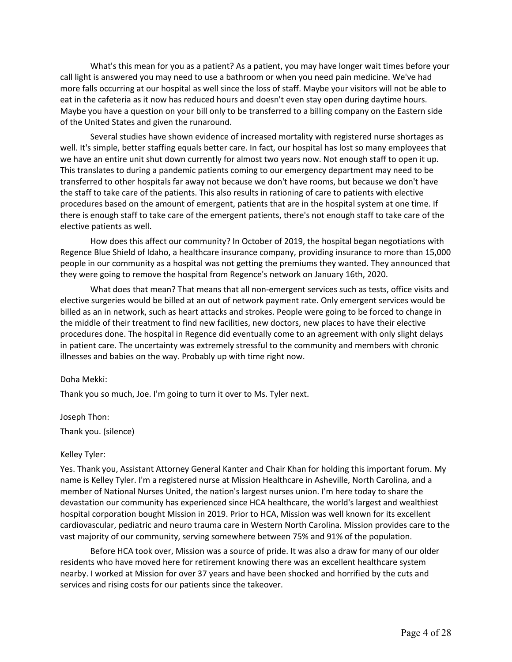What's this mean for you as a patient? As a patient, you may have longer wait times before your call light is answered you may need to use a bathroom or when you need pain medicine. We've had more falls occurring at our hospital as well since the loss of staff. Maybe your visitors will not be able to eat in the cafeteria as it now has reduced hours and doesn't even stay open during daytime hours. Maybe you have a question on your bill only to be transferred to a billing company on the Eastern side of the United States and given the runaround.

 well. It's simple, better staffing equals better care. In fact, our hospital has lost so many employees that we have an entire unit shut down currently for almost two years now. Not enough staff to open it up. This translates to during a pandemic patients coming to our emergency department may need to be transferred to other hospitals far away not because we don't have rooms, but because we don't have the staff to take care of the patients. This also results in rationing of care to patients with elective procedures based on the amount of emergent, patients that are in the hospital system at one time. If there is enough staff to take care of the emergent patients, there's not enough staff to take care of the elective patients as well. Several studies have shown evidence of increased mortality with registered nurse shortages as

 How does this affect our community? In October of 2019, the hospital began negotiations with Regence Blue Shield of Idaho, a healthcare insurance company, providing insurance to more than 15,000 people in our community as a hospital was not getting the premiums they wanted. They announced that they were going to remove the hospital from Regence's network on January 16th, 2020.

 What does that mean? That means that all non-emergent services such as tests, office visits and elective surgeries would be billed at an out of network payment rate. Only emergent services would be billed as an in network, such as heart attacks and strokes. People were going to be forced to change in the middle of their treatment to find new facilities, new doctors, new places to have their elective procedures done. The hospital in Regence did eventually come to an agreement with only slight delays in patient care. The uncertainty was extremely stressful to the community and members with chronic illnesses and babies on the way. Probably up with time right now.

## Doha Mekki:

Thank you so much, Joe. I'm going to turn it over to Ms. Tyler next.

Joseph Thon:

Thank you. (silence)

## Kelley Tyler:

 Yes. Thank you, Assistant Attorney General Kanter and Chair Khan for holding this important forum. My name is Kelley Tyler. I'm a registered nurse at Mission Healthcare in Asheville, North Carolina, and a member of National Nurses United, the nation's largest nurses union. I'm here today to share the devastation our community has experienced since HCA healthcare, the world's largest and wealthiest cardiovascular, pediatric and neuro trauma care in Western North Carolina. Mission provides care to the vast majority of our community, serving somewhere between 75% and 91% of the population. hospital corporation bought Mission in 2019. Prior to HCA, Mission was well known for its excellent

 Before HCA took over, Mission was a source of pride. It was also a draw for many of our older residents who have moved here for retirement knowing there was an excellent healthcare system nearby. I worked at Mission for over 37 years and have been shocked and horrified by the cuts and services and rising costs for our patients since the takeover.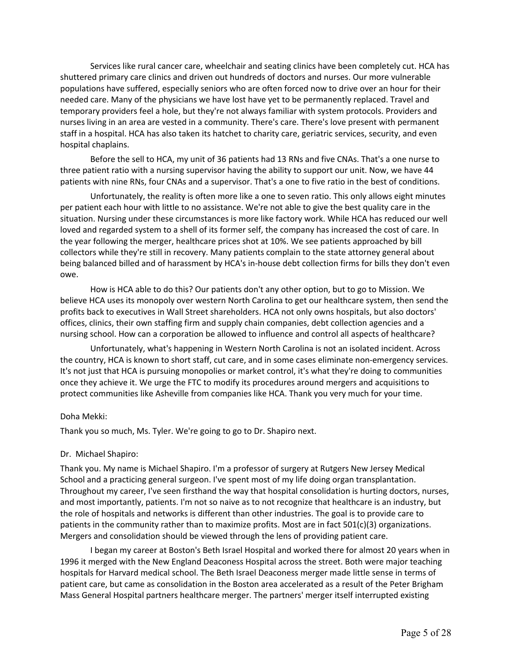Services like rural cancer care, wheelchair and seating clinics have been completely cut. HCA has shuttered primary care clinics and driven out hundreds of doctors and nurses. Our more vulnerable populations have suffered, especially seniors who are often forced now to drive over an hour for their needed care. Many of the physicians we have lost have yet to be permanently replaced. Travel and temporary providers feel a hole, but they're not always familiar with system protocols. Providers and nurses living in an area are vested in a community. There's care. There's love present with permanent staff in a hospital. HCA has also taken its hatchet to charity care, geriatric services, security, and even hospital chaplains.

 Before the sell to HCA, my unit of 36 patients had 13 RNs and five CNAs. That's a one nurse to three patient ratio with a nursing supervisor having the ability to support our unit. Now, we have 44 patients with nine RNs, four CNAs and a supervisor. That's a one to five ratio in the best of conditions.

 Unfortunately, the reality is often more like a one to seven ratio. This only allows eight minutes per patient each hour with little to no assistance. We're not able to give the best quality care in the situation. Nursing under these circumstances is more like factory work. While HCA has reduced our well the year following the merger, healthcare prices shot at 10%. We see patients approached by bill collectors while they're still in recovery. Many patients complain to the state attorney general about loved and regarded system to a shell of its former self, the company has increased the cost of care. In being balanced billed and of harassment by HCA's in-house debt collection firms for bills they don't even owe.

 How is HCA able to do this? Our patients don't any other option, but to go to Mission. We believe HCA uses its monopoly over western North Carolina to get our healthcare system, then send the profits back to executives in Wall Street shareholders. HCA not only owns hospitals, but also doctors' nursing school. How can a corporation be allowed to influence and control all aspects of healthcare? offices, clinics, their own staffing firm and supply chain companies, debt collection agencies and a

 Unfortunately, what's happening in Western North Carolina is not an isolated incident. Across once they achieve it. We urge the FTC to modify its procedures around mergers and acquisitions to protect communities like Asheville from companies like HCA. Thank you very much for your time. the country, HCA is known to short staff, cut care, and in some cases eliminate non-emergency services. It's not just that HCA is pursuing monopolies or market control, it's what they're doing to communities

## Doha Mekki:

Thank you so much, Ms. Tyler. We're going to go to Dr. Shapiro next.

# Dr. Michael Shapiro:

 Thank you. My name is Michael Shapiro. I'm a professor of surgery at Rutgers New Jersey Medical School and a practicing general surgeon. I've spent most of my life doing organ transplantation. and most importantly, patients. I'm not so naive as to not recognize that healthcare is an industry, but the role of hospitals and networks is different than other industries. The goal is to provide care to patients in the community rather than to maximize profits. Most are in fact 501(c)(3) organizations. Mergers and consolidation should be viewed through the lens of providing patient care. Throughout my career, I've seen firsthand the way that hospital consolidation is hurting doctors, nurses,

 I began my career at Boston's Beth Israel Hospital and worked there for almost 20 years when in 1996 it merged with the New England Deaconess Hospital across the street. Both were major teaching hospitals for Harvard medical school. The Beth Israel Deaconess merger made little sense in terms of patient care, but came as consolidation in the Boston area accelerated as a result of the Peter Brigham Mass General Hospital partners healthcare merger. The partners' merger itself interrupted existing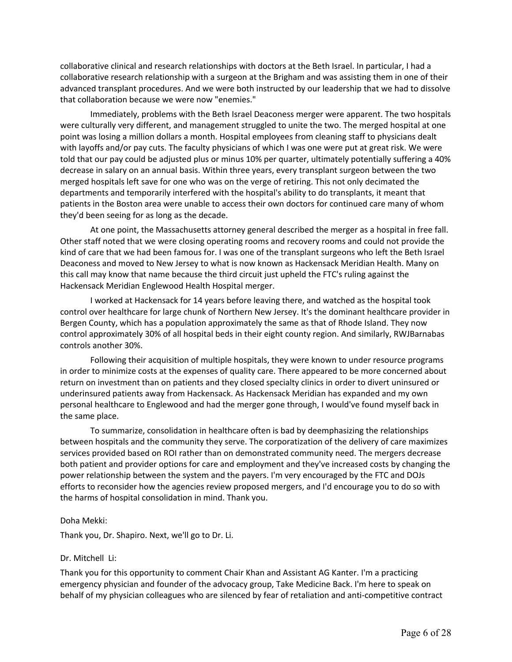collaborative clinical and research relationships with doctors at the Beth Israel. In particular, I had a collaborative research relationship with a surgeon at the Brigham and was assisting them in one of their advanced transplant procedures. And we were both instructed by our leadership that we had to dissolve that collaboration because we were now "enemies."

 were culturally very different, and management struggled to unite the two. The merged hospital at one point was losing a million dollars a month. Hospital employees from cleaning staff to physicians dealt with layoffs and/or pay cuts. The faculty physicians of which I was one were put at great risk. We were told that our pay could be adjusted plus or minus 10% per quarter, ultimately potentially suffering a 40% decrease in salary on an annual basis. Within three years, every transplant surgeon between the two merged hospitals left save for one who was on the verge of retiring. This not only decimated the patients in the Boston area were unable to access their own doctors for continued care many of whom they'd been seeing for as long as the decade. Immediately, problems with the Beth Israel Deaconess merger were apparent. The two hospitals departments and temporarily interfered with the hospital's ability to do transplants, it meant that

 At one point, the Massachusetts attorney general described the merger as a hospital in free fall. Other staff noted that we were closing operating rooms and recovery rooms and could not provide the kind of care that we had been famous for. I was one of the transplant surgeons who left the Beth Israel Deaconess and moved to New Jersey to what is now known as Hackensack Meridian Health. Many on this call may know that name because the third circuit just upheld the FTC's ruling against the Hackensack Meridian Englewood Health Hospital merger.

 control over healthcare for large chunk of Northern New Jersey. It's the dominant healthcare provider in Bergen County, which has a population approximately the same as that of Rhode Island. They now control approximately 30% of all hospital beds in their eight county region. And similarly, RWJBarnabas I worked at Hackensack for 14 years before leaving there, and watched as the hospital took controls another 30%.

 underinsured patients away from Hackensack. As Hackensack Meridian has expanded and my own personal healthcare to Englewood and had the merger gone through, I would've found myself back in the same place. Following their acquisition of multiple hospitals, they were known to under resource programs in order to minimize costs at the expenses of quality care. There appeared to be more concerned about return on investment than on patients and they closed specialty clinics in order to divert uninsured or

 To summarize, consolidation in healthcare often is bad by deemphasizing the relationships between hospitals and the community they serve. The corporatization of the delivery of care maximizes services provided based on ROI rather than on demonstrated community need. The mergers decrease power relationship between the system and the payers. I'm very encouraged by the FTC and DOJs efforts to reconsider how the agencies review proposed mergers, and I'd encourage you to do so with the harms of hospital consolidation in mind. Thank you. both patient and provider options for care and employment and they've increased costs by changing the

## Doha Mekki:

Thank you, Dr. Shapiro. Next, we'll go to Dr. Li.

# Dr. Mitchell Li:

 Thank you for this opportunity to comment Chair Khan and Assistant AG Kanter. I'm a practicing emergency physician and founder of the advocacy group, Take Medicine Back. I'm here to speak on behalf of my physician colleagues who are silenced by fear of retaliation and anti-competitive contract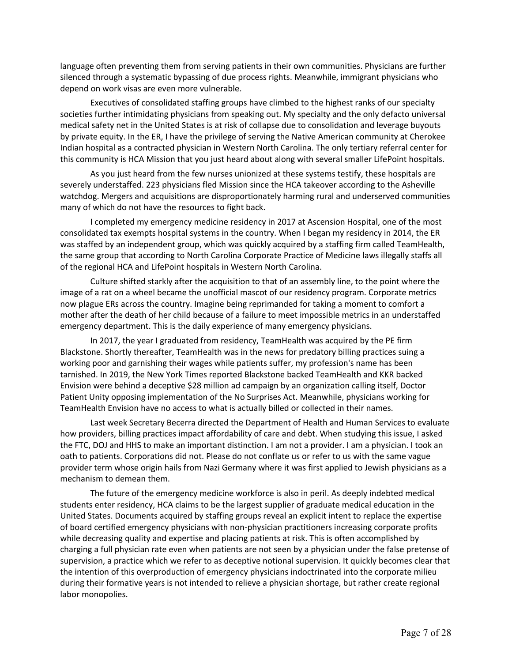silenced through a systematic bypassing of due process rights. Meanwhile, immigrant physicians who depend on work visas are even more vulnerable. language often preventing them from serving patients in their own communities. Physicians are further

 Executives of consolidated staffing groups have climbed to the highest ranks of our specialty societies further intimidating physicians from speaking out. My specialty and the only defacto universal medical safety net in the United States is at risk of collapse due to consolidation and leverage buyouts by private equity. In the ER, I have the privilege of serving the Native American community at Cherokee this community is HCA Mission that you just heard about along with several smaller LifePoint hospitals. Indian hospital as a contracted physician in Western North Carolina. The only tertiary referral center for

 As you just heard from the few nurses unionized at these systems testify, these hospitals are severely understaffed. 223 physicians fled Mission since the HCA takeover according to the Asheville watchdog. Mergers and acquisitions are disproportionately harming rural and underserved communities many of which do not have the resources to fight back.

 consolidated tax exempts hospital systems in the country. When I began my residency in 2014, the ER was staffed by an independent group, which was quickly acquired by a staffing firm called TeamHealth, the same group that according to North Carolina Corporate Practice of Medicine laws illegally staffs all of the regional HCA and LifePoint hospitals in Western North Carolina. I completed my emergency medicine residency in 2017 at Ascension Hospital, one of the most

 Culture shifted starkly after the acquisition to that of an assembly line, to the point where the now plague ERs across the country. Imagine being reprimanded for taking a moment to comfort a mother after the death of her child because of a failure to meet impossible metrics in an understaffed emergency department. This is the daily experience of many emergency physicians. image of a rat on a wheel became the unofficial mascot of our residency program. Corporate metrics

 Blackstone. Shortly thereafter, TeamHealth was in the news for predatory billing practices suing a tarnished. In 2019, the New York Times reported Blackstone backed TeamHealth and KKR backed Envision were behind a deceptive \$28 million ad campaign by an organization calling itself, Doctor Patient Unity opposing implementation of the No Surprises Act. Meanwhile, physicians working for In 2017, the year I graduated from residency, TeamHealth was acquired by the PE firm working poor and garnishing their wages while patients suffer, my profession's name has been TeamHealth Envision have no access to what is actually billed or collected in their names.

 Last week Secretary Becerra directed the Department of Health and Human Services to evaluate how providers, billing practices impact affordability of care and debt. When studying this issue, I asked the FTC, DOJ and HHS to make an important distinction. I am not a provider. I am a physician. I took an oath to patients. Corporations did not. Please do not conflate us or refer to us with the same vague provider term whose origin hails from Nazi Germany where it was first applied to Jewish physicians as a mechanism to demean them.

 The future of the emergency medicine workforce is also in peril. As deeply indebted medical students enter residency, HCA claims to be the largest supplier of graduate medical education in the United States. Documents acquired by staffing groups reveal an explicit intent to replace the expertise of board certified emergency physicians with non-physician practitioners increasing corporate profits while decreasing quality and expertise and placing patients at risk. This is often accomplished by charging a full physician rate even when patients are not seen by a physician under the false pretense of supervision, a practice which we refer to as deceptive notional supervision. It quickly becomes clear that during their formative years is not intended to relieve a physician shortage, but rather create regional the intention of this overproduction of emergency physicians indoctrinated into the corporate milieu labor monopolies.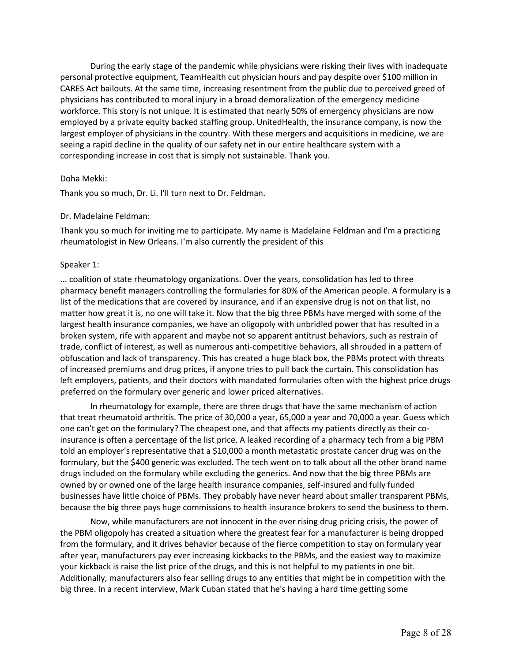During the early stage of the pandemic while physicians were risking their lives with inadequate personal protective equipment, TeamHealth cut physician hours and pay despite over \$100 million in CARES Act bailouts. At the same time, increasing resentment from the public due to perceived greed of physicians has contributed to moral injury in a broad demoralization of the emergency medicine workforce. This story is not unique. It is estimated that nearly 50% of emergency physicians are now employed by a private equity backed staffing group. UnitedHealth, the insurance company, is now the largest employer of physicians in the country. With these mergers and acquisitions in medicine, we are seeing a rapid decline in the quality of our safety net in our entire healthcare system with a corresponding increase in cost that is simply not sustainable. Thank you.

## Doha Mekki:

Thank you so much, Dr. Li. I'll turn next to Dr. Feldman.

# Dr. Madelaine Feldman:

 Thank you so much for inviting me to participate. My name is Madelaine Feldman and I'm a practicing rheumatologist in New Orleans. I'm also currently the president of this

# Speaker 1:

 pharmacy benefit managers controlling the formularies for 80% of the American people. A formulary is a list of the medications that are covered by insurance, and if an expensive drug is not on that list, no matter how great it is, no one will take it. Now that the big three PBMs have merged with some of the obfuscation and lack of transparency. This has created a huge black box, the PBMs protect with threats of increased premiums and drug prices, if anyone tries to pull back the curtain. This consolidation has preferred on the formulary over generic and lower priced alternatives. ... coalition of state rheumatology organizations. Over the years, consolidation has led to three largest health insurance companies, we have an oligopoly with unbridled power that has resulted in a broken system, rife with apparent and maybe not so apparent antitrust behaviors, such as restrain of trade, conflict of interest, as well as numerous anti-competitive behaviors, all shrouded in a pattern of left employers, patients, and their doctors with mandated formularies often with the highest price drugs

 that treat rheumatoid arthritis. The price of 30,000 a year, 65,000 a year and 70,000 a year. Guess which told an employer's representative that a \$10,000 a month metastatic prostate cancer drug was on the drugs included on the formulary while excluding the generics. And now that the big three PBMs are owned by or owned one of the large health insurance companies, self-insured and fully funded businesses have little choice of PBMs. They probably have never heard about smaller transparent PBMs, because the big three pays huge commissions to health insurance brokers to send the business to them. In rheumatology for example, there are three drugs that have the same mechanism of action one can't get on the formulary? The cheapest one, and that affects my patients directly as their coinsurance is often a percentage of the list price. A leaked recording of a pharmacy tech from a big PBM formulary, but the \$400 generic was excluded. The tech went on to talk about all the other brand name

 Now, while manufacturers are not innocent in the ever rising drug pricing crisis, the power of the PBM oligopoly has created a situation where the greatest fear for a manufacturer is being dropped your kickback is raise the list price of the drugs, and this is not helpful to my patients in one bit. Additionally, manufacturers also fear selling drugs to any entities that might be in competition with the big three. In a recent interview, Mark Cuban stated that he's having a hard time getting some from the formulary, and it drives behavior because of the fierce competition to stay on formulary year after year, manufacturers pay ever increasing kickbacks to the PBMs, and the easiest way to maximize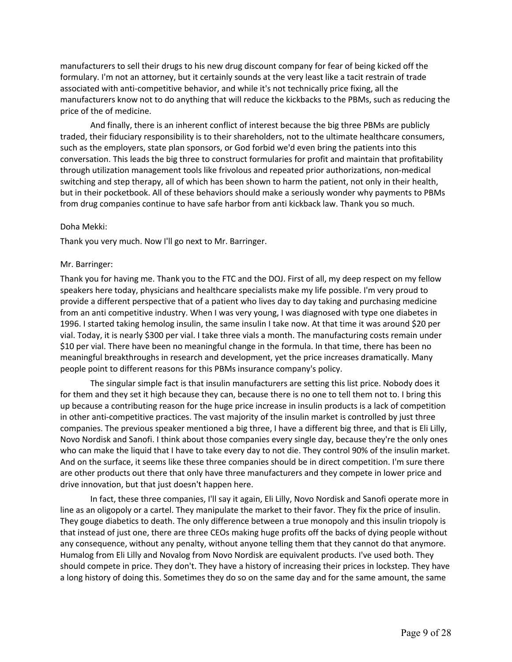manufacturers to sell their drugs to his new drug discount company for fear of being kicked off the manufacturers know not to do anything that will reduce the kickbacks to the PBMs, such as reducing the price of the of medicine. formulary. I'm not an attorney, but it certainly sounds at the very least like a tacit restrain of trade associated with anti-competitive behavior, and while it's not technically price fixing, all the

 And finally, there is an inherent conflict of interest because the big three PBMs are publicly traded, their fiduciary responsibility is to their shareholders, not to the ultimate healthcare consumers, such as the employers, state plan sponsors, or God forbid we'd even bring the patients into this conversation. This leads the big three to construct formularies for profit and maintain that profitability switching and step therapy, all of which has been shown to harm the patient, not only in their health, but in their pocketbook. All of these behaviors should make a seriously wonder why payments to PBMs through utilization management tools like frivolous and repeated prior authorizations, non-medical from drug companies continue to have safe harbor from anti kickback law. Thank you so much.

## Doha Mekki:

Thank you very much. Now I'll go next to Mr. Barringer.

#### Mr. Barringer:

 Thank you for having me. Thank you to the FTC and the DOJ. First of all, my deep respect on my fellow speakers here today, physicians and healthcare specialists make my life possible. I'm very proud to provide a different perspective that of a patient who lives day to day taking and purchasing medicine 1996. I started taking hemolog insulin, the same insulin I take now. At that time it was around \$20 per vial. Today, it is nearly \$300 per vial. I take three vials a month. The manufacturing costs remain under \$10 per vial. There have been no meaningful change in the formula. In that time, there has been no meaningful breakthroughs in research and development, yet the price increases dramatically. Many from an anti competitive industry. When I was very young, I was diagnosed with type one diabetes in people point to different reasons for this PBMs insurance company's policy.

 The singular simple fact is that insulin manufacturers are setting this list price. Nobody does it for them and they set it high because they can, because there is no one to tell them not to. I bring this up because a contributing reason for the huge price increase in insulin products is a lack of competition in other anti-competitive practices. The vast majority of the insulin market is controlled by just three companies. The previous speaker mentioned a big three, I have a different big three, and that is Eli Lilly, Novo Nordisk and Sanofi. I think about those companies every single day, because they're the only ones who can make the liquid that I have to take every day to not die. They control 90% of the insulin market. And on the surface, it seems like these three companies should be in direct competition. I'm sure there are other products out there that only have three manufacturers and they compete in lower price and drive innovation, but that just doesn't happen here.

 line as an oligopoly or a cartel. They manipulate the market to their favor. They fix the price of insulin. They gouge diabetics to death. The only difference between a true monopoly and this insulin triopoly is that instead of just one, there are three CEOs making huge profits off the backs of dying people without any consequence, without any penalty, without anyone telling them that they cannot do that anymore. Humalog from Eli Lilly and Novalog from Novo Nordisk are equivalent products. I've used both. They should compete in price. They don't. They have a history of increasing their prices in lockstep. They have a long history of doing this. Sometimes they do so on the same day and for the same amount, the same In fact, these three companies, I'll say it again, Eli Lilly, Novo Nordisk and Sanofi operate more in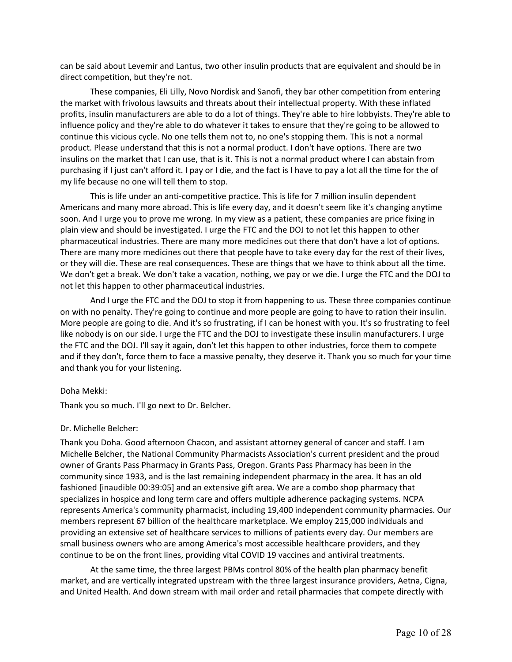can be said about Levemir and Lantus, two other insulin products that are equivalent and should be in direct competition, but they're not.

 These companies, Eli Lilly, Novo Nordisk and Sanofi, they bar other competition from entering the market with frivolous lawsuits and threats about their intellectual property. With these inflated profits, insulin manufacturers are able to do a lot of things. They're able to hire lobbyists. They're able to continue this vicious cycle. No one tells them not to, no one's stopping them. This is not a normal product. Please understand that this is not a normal product. I don't have options. There are two purchasing if I just can't afford it. I pay or I die, and the fact is I have to pay a lot all the time for the of my life because no one will tell them to stop. influence policy and they're able to do whatever it takes to ensure that they're going to be allowed to insulins on the market that I can use, that is it. This is not a normal product where I can abstain from

 This is life under an anti-competitive practice. This is life for 7 million insulin dependent Americans and many more abroad. This is life every day, and it doesn't seem like it's changing anytime soon. And I urge you to prove me wrong. In my view as a patient, these companies are price fixing in plain view and should be investigated. I urge the FTC and the DOJ to not let this happen to other pharmaceutical industries. There are many more medicines out there that don't have a lot of options. There are many more medicines out there that people have to take every day for the rest of their lives, or they will die. These are real consequences. These are things that we have to think about all the time. We don't get a break. We don't take a vacation, nothing, we pay or we die. I urge the FTC and the DOJ to not let this happen to other pharmaceutical industries.

 And I urge the FTC and the DOJ to stop it from happening to us. These three companies continue on with no penalty. They're going to continue and more people are going to have to ration their insulin. More people are going to die. And it's so frustrating, if I can be honest with you. It's so frustrating to feel the FTC and the DOJ. I'll say it again, don't let this happen to other industries, force them to compete and if they don't, force them to face a massive penalty, they deserve it. Thank you so much for your time like nobody is on our side. I urge the FTC and the DOJ to investigate these insulin manufacturers. I urge and thank you for your listening.

# Doha Mekki:

Thank you so much. I'll go next to Dr. Belcher.

## Dr. Michelle Belcher:

 Thank you Doha. Good afternoon Chacon, and assistant attorney general of cancer and staff. I am Michelle Belcher, the National Community Pharmacists Association's current president and the proud owner of Grants Pass Pharmacy in Grants Pass, Oregon. Grants Pass Pharmacy has been in the community since 1933, and is the last remaining independent pharmacy in the area. It has an old specializes in hospice and long term care and offers multiple adherence packaging systems. NCPA members represent 67 billion of the healthcare marketplace. We employ 215,000 individuals and providing an extensive set of healthcare services to millions of patients every day. Our members are small business owners who are among America's most accessible healthcare providers, and they continue to be on the front lines, providing vital COVID 19 vaccines and antiviral treatments. fashioned [inaudible 00:39:05] and an extensive gift area. We are a combo shop pharmacy that represents America's community pharmacist, including 19,400 independent community pharmacies. Our

 At the same time, the three largest PBMs control 80% of the health plan pharmacy benefit market, and are vertically integrated upstream with the three largest insurance providers, Aetna, Cigna, and United Health. And down stream with mail order and retail pharmacies that compete directly with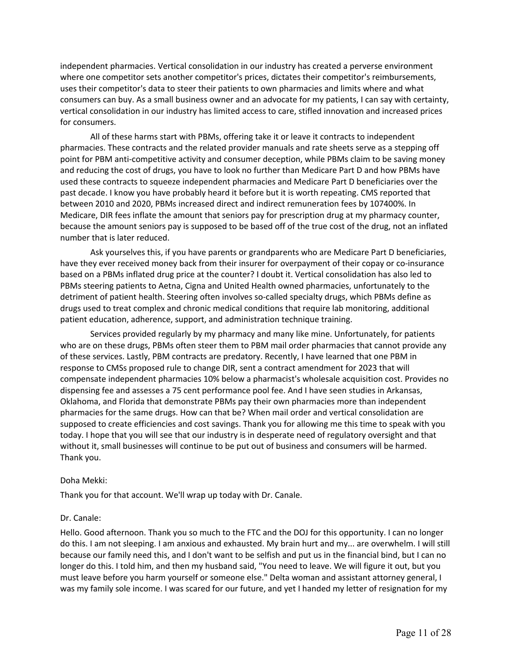where one competitor sets another competitor's prices, dictates their competitor's reimbursements, consumers can buy. As a small business owner and an advocate for my patients, I can say with certainty, vertical consolidation in our industry has limited access to care, stifled innovation and increased prices independent pharmacies. Vertical consolidation in our industry has created a perverse environment uses their competitor's data to steer their patients to own pharmacies and limits where and what for consumers.

 All of these harms start with PBMs, offering take it or leave it contracts to independent pharmacies. These contracts and the related provider manuals and rate sheets serve as a stepping off point for PBM anti-competitive activity and consumer deception, while PBMs claim to be saving money and reducing the cost of drugs, you have to look no further than Medicare Part D and how PBMs have past decade. I know you have probably heard it before but it is worth repeating. CMS reported that between 2010 and 2020, PBMs increased direct and indirect remuneration fees by 107400%. In Medicare, DIR fees inflate the amount that seniors pay for prescription drug at my pharmacy counter, because the amount seniors pay is supposed to be based off of the true cost of the drug, not an inflated used these contracts to squeeze independent pharmacies and Medicare Part D beneficiaries over the number that is later reduced.

 Ask yourselves this, if you have parents or grandparents who are Medicare Part D beneficiaries, have they ever received money back from their insurer for overpayment of their copay or co-insurance based on a PBMs inflated drug price at the counter? I doubt it. Vertical consolidation has also led to PBMs steering patients to Aetna, Cigna and United Health owned pharmacies, unfortunately to the detriment of patient health. Steering often involves so-called specialty drugs, which PBMs define as drugs used to treat complex and chronic medical conditions that require lab monitoring, additional patient education, adherence, support, and administration technique training.

 Services provided regularly by my pharmacy and many like mine. Unfortunately, for patients who are on these drugs, PBMs often steer them to PBM mail order pharmacies that cannot provide any of these services. Lastly, PBM contracts are predatory. Recently, I have learned that one PBM in response to CMSs proposed rule to change DIR, sent a contract amendment for 2023 that will compensate independent pharmacies 10% below a pharmacist's wholesale acquisition cost. Provides no dispensing fee and assesses a 75 cent performance pool fee. And I have seen studies in Arkansas, Oklahoma, and Florida that demonstrate PBMs pay their own pharmacies more than independent pharmacies for the same drugs. How can that be? When mail order and vertical consolidation are supposed to create efficiencies and cost savings. Thank you for allowing me this time to speak with you today. I hope that you will see that our industry is in desperate need of regulatory oversight and that without it, small businesses will continue to be put out of business and consumers will be harmed. Thank you.

# Doha Mekki:

Thank you for that account. We'll wrap up today with Dr. Canale.

## Dr. Canale:

 Hello. Good afternoon. Thank you so much to the FTC and the DOJ for this opportunity. I can no longer do this. I am not sleeping. I am anxious and exhausted. My brain hurt and my... are overwhelm. I will still because our family need this, and I don't want to be selfish and put us in the financial bind, but I can no must leave before you harm yourself or someone else." Delta woman and assistant attorney general, I was my family sole income. I was scared for our future, and yet I handed my letter of resignation for my longer do this. I told him, and then my husband said, "You need to leave. We will figure it out, but you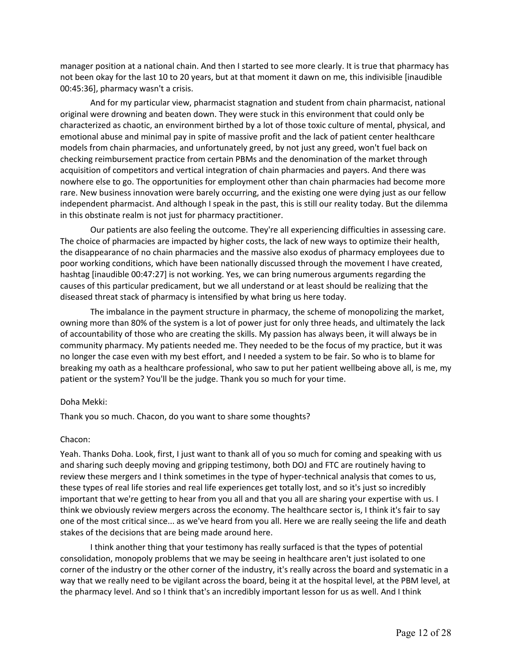manager position at a national chain. And then I started to see more clearly. It is true that pharmacy has not been okay for the last 10 to 20 years, but at that moment it dawn on me, this indivisible [inaudible 00:45:36], pharmacy wasn't a crisis.

 And for my particular view, pharmacist stagnation and student from chain pharmacist, national original were drowning and beaten down. They were stuck in this environment that could only be characterized as chaotic, an environment birthed by a lot of those toxic culture of mental, physical, and emotional abuse and minimal pay in spite of massive profit and the lack of patient center healthcare models from chain pharmacies, and unfortunately greed, by not just any greed, won't fuel back on checking reimbursement practice from certain PBMs and the denomination of the market through acquisition of competitors and vertical integration of chain pharmacies and payers. And there was nowhere else to go. The opportunities for employment other than chain pharmacies had become more rare. New business innovation were barely occurring, and the existing one were dying just as our fellow independent pharmacist. And although I speak in the past, this is still our reality today. But the dilemma in this obstinate realm is not just for pharmacy practitioner.

 Our patients are also feeling the outcome. They're all experiencing difficulties in assessing care. The choice of pharmacies are impacted by higher costs, the lack of new ways to optimize their health, the disappearance of no chain pharmacies and the massive also exodus of pharmacy employees due to poor working conditions, which have been nationally discussed through the movement I have created, hashtag [inaudible 00:47:27] is not working. Yes, we can bring numerous arguments regarding the causes of this particular predicament, but we all understand or at least should be realizing that the diseased threat stack of pharmacy is intensified by what bring us here today.

 The imbalance in the payment structure in pharmacy, the scheme of monopolizing the market, owning more than 80% of the system is a lot of power just for only three heads, and ultimately the lack of accountability of those who are creating the skills. My passion has always been, it will always be in community pharmacy. My patients needed me. They needed to be the focus of my practice, but it was no longer the case even with my best effort, and I needed a system to be fair. So who is to blame for breaking my oath as a healthcare professional, who saw to put her patient wellbeing above all, is me, my patient or the system? You'll be the judge. Thank you so much for your time.

## Doha Mekki:

Thank you so much. Chacon, do you want to share some thoughts?

# Chacon:

 Yeah. Thanks Doha. Look, first, I just want to thank all of you so much for coming and speaking with us review these mergers and I think sometimes in the type of hyper-technical analysis that comes to us, these types of real life stories and real life experiences get totally lost, and so it's just so incredibly think we obviously review mergers across the economy. The healthcare sector is, I think it's fair to say one of the most critical since... as we've heard from you all. Here we are really seeing the life and death stakes of the decisions that are being made around here. and sharing such deeply moving and gripping testimony, both DOJ and FTC are routinely having to important that we're getting to hear from you all and that you all are sharing your expertise with us. I

 consolidation, monopoly problems that we may be seeing in healthcare aren't just isolated to one corner of the industry or the other corner of the industry, it's really across the board and systematic in a way that we really need to be vigilant across the board, being it at the hospital level, at the PBM level, at the pharmacy level. And so I think that's an incredibly important lesson for us as well. And I think I think another thing that your testimony has really surfaced is that the types of potential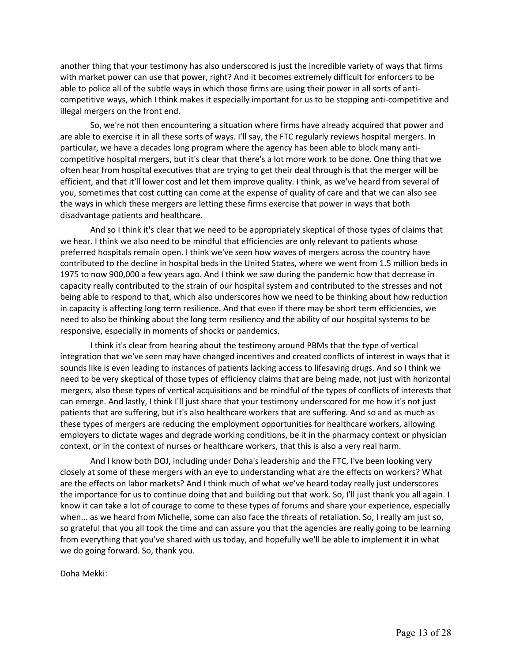another thing that your testimony has also underscored is just the incredible variety of ways that firms with market power can use that power, right? And it becomes extremely difficult for enforcers to be able to police all of the subtle ways in which those firms are using their power in all sorts of anticompetitive ways, which I think makes it especially important for us to be stopping anti-competitive and illegal mergers on the front end.

 So, we're not then encountering a situation where firms have already acquired that power and are able to exercise it in all these sorts of ways. I'll say, the FTC regularly reviews hospital mergers. In particular, we have a decades long program where the agency has been able to block many anti- competitive hospital mergers, but it's clear that there's a lot more work to be done. One thing that we often hear from hospital executives that are trying to get their deal through is that the merger will be efficient, and that it'll lower cost and let them improve quality. I think, as we've heard from several of you, sometimes that cost cutting can come at the expense of quality of care and that we can also see the ways in which these mergers are letting these firms exercise that power in ways that both disadvantage patients and healthcare.

 And so I think it's clear that we need to be appropriately skeptical of those types of claims that we hear. I think we also need to be mindful that efficiencies are only relevant to patients whose preferred hospitals remain open. I think we've seen how waves of mergers across the country have contributed to the decline in hospital beds in the United States, where we went from 1.5 million beds in 1975 to now 900,000 a few years ago. And I think we saw during the pandemic how that decrease in capacity really contributed to the strain of our hospital system and contributed to the stresses and not being able to respond to that, which also underscores how we need to be thinking about how reduction need to also be thinking about the long term resiliency and the ability of our hospital systems to be responsive, especially in moments of shocks or pandemics. in capacity is affecting long term resilience. And that even if there may be short term efficiencies, we

 sounds like is even leading to instances of patients lacking access to lifesaving drugs. And so I think we need to be very skeptical of those types of efficiency claims that are being made, not just with horizontal mergers, also these types of vertical acquisitions and be mindful of the types of conflicts of interests that can emerge. And lastly, I think I'll just share that your testimony underscored for me how it's not just patients that are suffering, but it's also healthcare workers that are suffering. And so and as much as these types of mergers are reducing the employment opportunities for healthcare workers, allowing employers to dictate wages and degrade working conditions, be it in the pharmacy context or physician context, or in the context of nurses or healthcare workers, that this is also a very real harm. I think it's clear from hearing about the testimony around PBMs that the type of vertical integration that we've seen may have changed incentives and created conflicts of interest in ways that it

 And I know both DOJ, including under Doha's leadership and the FTC, I've been looking very closely at some of these mergers with an eye to understanding what are the effects on workers? What are the effects on labor markets? And I think much of what we've heard today really just underscores the importance for us to continue doing that and building out that work. So, I'll just thank you all again. I know it can take a lot of courage to come to these types of forums and share your experience, especially when... as we heard from Michelle, some can also face the threats of retaliation. So, I really am just so, so grateful that you all took the time and can assure you that the agencies are really going to be learning from everything that you've shared with us today, and hopefully we'll be able to implement it in what we do going forward. So, thank you.

Doha Mekki: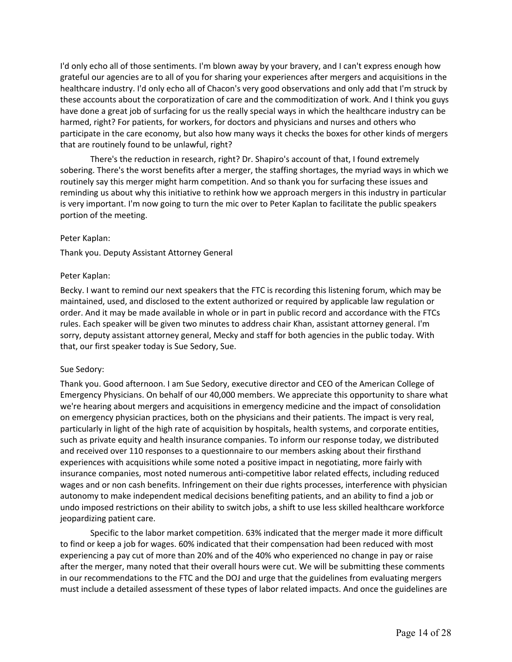grateful our agencies are to all of you for sharing your experiences after mergers and acquisitions in the healthcare industry. I'd only echo all of Chacon's very good observations and only add that I'm struck by these accounts about the corporatization of care and the commoditization of work. And I think you guys have done a great job of surfacing for us the really special ways in which the healthcare industry can be that are routinely found to be unlawful, right? I'd only echo all of those sentiments. I'm blown away by your bravery, and I can't express enough how harmed, right? For patients, for workers, for doctors and physicians and nurses and others who participate in the care economy, but also how many ways it checks the boxes for other kinds of mergers

 There's the reduction in research, right? Dr. Shapiro's account of that, I found extremely sobering. There's the worst benefits after a merger, the staffing shortages, the myriad ways in which we reminding us about why this initiative to rethink how we approach mergers in this industry in particular portion of the meeting. routinely say this merger might harm competition. And so thank you for surfacing these issues and is very important. I'm now going to turn the mic over to Peter Kaplan to facilitate the public speakers

## Peter Kaplan:

Thank you. Deputy Assistant Attorney General

# Peter Kaplan:

 Becky. I want to remind our next speakers that the FTC is recording this listening forum, which may be maintained, used, and disclosed to the extent authorized or required by applicable law regulation or order. And it may be made available in whole or in part in public record and accordance with the FTCs rules. Each speaker will be given two minutes to address chair Khan, assistant attorney general. I'm sorry, deputy assistant attorney general, Mecky and staff for both agencies in the public today. With that, our first speaker today is Sue Sedory, Sue.

# Sue Sedory:

 Thank you. Good afternoon. I am Sue Sedory, executive director and CEO of the American College of Emergency Physicians. On behalf of our 40,000 members. We appreciate this opportunity to share what we're hearing about mergers and acquisitions in emergency medicine and the impact of consolidation on emergency physician practices, both on the physicians and their patients. The impact is very real, particularly in light of the high rate of acquisition by hospitals, health systems, and corporate entities, such as private equity and health insurance companies. To inform our response today, we distributed experiences with acquisitions while some noted a positive impact in negotiating, more fairly with wages and or non cash benefits. Infringement on their due rights processes, interference with physician undo imposed restrictions on their ability to switch jobs, a shift to use less skilled healthcare workforce and received over 110 responses to a questionnaire to our members asking about their firsthand insurance companies, most noted numerous anti-competitive labor related effects, including reduced autonomy to make independent medical decisions benefiting patients, and an ability to find a job or jeopardizing patient care.

 Specific to the labor market competition. 63% indicated that the merger made it more difficult to find or keep a job for wages. 60% indicated that their compensation had been reduced with most experiencing a pay cut of more than 20% and of the 40% who experienced no change in pay or raise after the merger, many noted that their overall hours were cut. We will be submitting these comments must include a detailed assessment of these types of labor related impacts. And once the guidelines are in our recommendations to the FTC and the DOJ and urge that the guidelines from evaluating mergers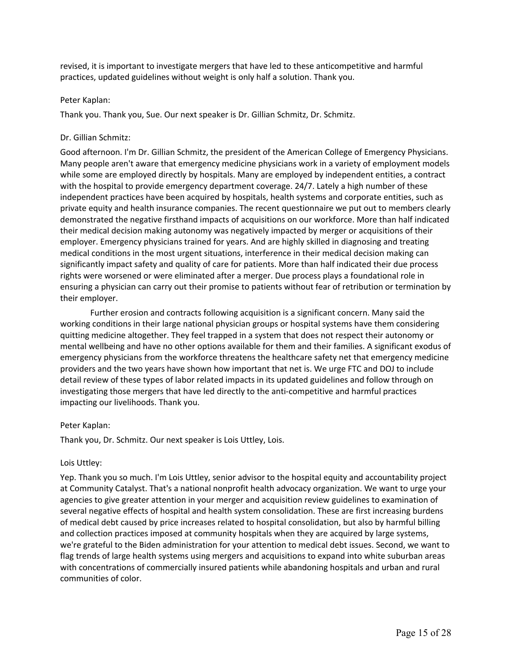revised, it is important to investigate mergers that have led to these anticompetitive and harmful practices, updated guidelines without weight is only half a solution. Thank you.

## Peter Kaplan:

Thank you. Thank you, Sue. Our next speaker is Dr. Gillian Schmitz, Dr. Schmitz.

# Dr. Gillian Schmitz:

 Good afternoon. I'm Dr. Gillian Schmitz, the president of the American College of Emergency Physicians. Many people aren't aware that emergency medicine physicians work in a variety of employment models while some are employed directly by hospitals. Many are employed by independent entities, a contract with the hospital to provide emergency department coverage. 24/7. Lately a high number of these private equity and health insurance companies. The recent questionnaire we put out to members clearly demonstrated the negative firsthand impacts of acquisitions on our workforce. More than half indicated their medical decision making autonomy was negatively impacted by merger or acquisitions of their employer. Emergency physicians trained for years. And are highly skilled in diagnosing and treating medical conditions in the most urgent situations, interference in their medical decision making can significantly impact safety and quality of care for patients. More than half indicated their due process rights were worsened or were eliminated after a merger. Due process plays a foundational role in ensuring a physician can carry out their promise to patients without fear of retribution or termination by independent practices have been acquired by hospitals, health systems and corporate entities, such as their employer.

 Further erosion and contracts following acquisition is a significant concern. Many said the working conditions in their large national physician groups or hospital systems have them considering quitting medicine altogether. They feel trapped in a system that does not respect their autonomy or mental wellbeing and have no other options available for them and their families. A significant exodus of emergency physicians from the workforce threatens the healthcare safety net that emergency medicine providers and the two years have shown how important that net is. We urge FTC and DOJ to include detail review of these types of labor related impacts in its updated guidelines and follow through on investigating those mergers that have led directly to the anti-competitive and harmful practices impacting our livelihoods. Thank you.

# Peter Kaplan:

Thank you, Dr. Schmitz. Our next speaker is Lois Uttley, Lois.

## Lois Uttley:

 Yep. Thank you so much. I'm Lois Uttley, senior advisor to the hospital equity and accountability project several negative effects of hospital and health system consolidation. These are first increasing burdens of medical debt caused by price increases related to hospital consolidation, but also by harmful billing we're grateful to the Biden administration for your attention to medical debt issues. Second, we want to with concentrations of commercially insured patients while abandoning hospitals and urban and rural at Community Catalyst. That's a national nonprofit health advocacy organization. We want to urge your agencies to give greater attention in your merger and acquisition review guidelines to examination of and collection practices imposed at community hospitals when they are acquired by large systems, flag trends of large health systems using mergers and acquisitions to expand into white suburban areas communities of color.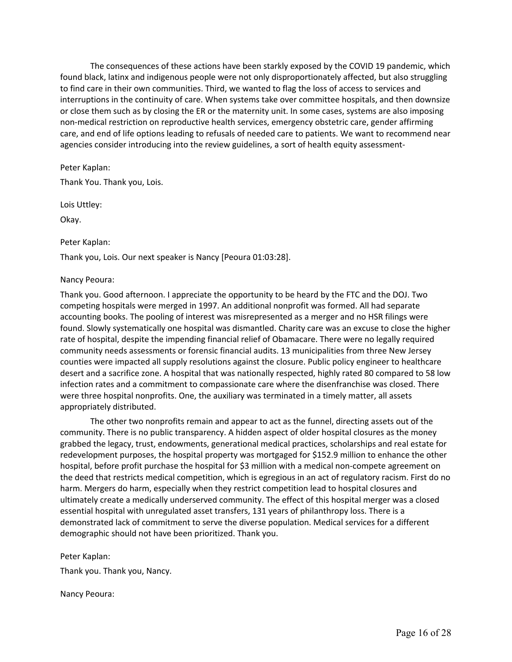The consequences of these actions have been starkly exposed by the COVID 19 pandemic, which to find care in their own communities. Third, we wanted to flag the loss of access to services and or close them such as by closing the ER or the maternity unit. In some cases, systems are also imposing care, and end of life options leading to refusals of needed care to patients. We want to recommend near agencies consider introducing into the review guidelines, a sort of health equity assessmentfound black, latinx and indigenous people were not only disproportionately affected, but also struggling interruptions in the continuity of care. When systems take over committee hospitals, and then downsize non-medical restriction on reproductive health services, emergency obstetric care, gender affirming

 Thank You. Thank you, Lois. Peter Kaplan:

Lois Uttley:

Okay.

# Peter Kaplan:

Thank you, Lois. Our next speaker is Nancy [Peoura 01:03:28].

# Nancy Peoura:

 Thank you. Good afternoon. I appreciate the opportunity to be heard by the FTC and the DOJ. Two competing hospitals were merged in 1997. An additional nonprofit was formed. All had separate accounting books. The pooling of interest was misrepresented as a merger and no HSR filings were found. Slowly systematically one hospital was dismantled. Charity care was an excuse to close the higher rate of hospital, despite the impending financial relief of Obamacare. There were no legally required community needs assessments or forensic financial audits. 13 municipalities from three New Jersey counties were impacted all supply resolutions against the closure. Public policy engineer to healthcare desert and a sacrifice zone. A hospital that was nationally respected, highly rated 80 compared to 58 low infection rates and a commitment to compassionate care where the disenfranchise was closed. There were three hospital nonprofits. One, the auxiliary was terminated in a timely matter, all assets appropriately distributed.

 The other two nonprofits remain and appear to act as the funnel, directing assets out of the community. There is no public transparency. A hidden aspect of older hospital closures as the money grabbed the legacy, trust, endowments, generational medical practices, scholarships and real estate for redevelopment purposes, the hospital property was mortgaged for \$152.9 million to enhance the other hospital, before profit purchase the hospital for \$3 million with a medical non-compete agreement on the deed that restricts medical competition, which is egregious in an act of regulatory racism. First do no harm. Mergers do harm, especially when they restrict competition lead to hospital closures and ultimately create a medically underserved community. The effect of this hospital merger was a closed essential hospital with unregulated asset transfers, 131 years of philanthropy loss. There is a demonstrated lack of commitment to serve the diverse population. Medical services for a different demographic should not have been prioritized. Thank you.

Peter Kaplan:

Thank you. Thank you, Nancy.

Nancy Peoura: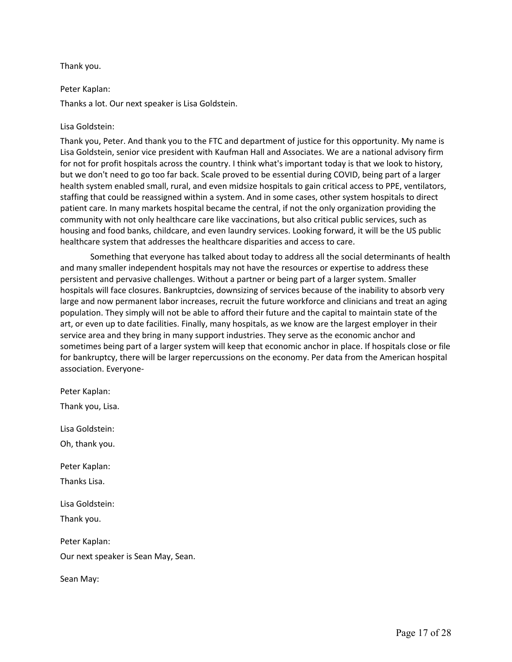# Thank you.

# Peter Kaplan:

Thanks a lot. Our next speaker is Lisa Goldstein.

# Lisa Goldstein:

 Thank you, Peter. And thank you to the FTC and department of justice for this opportunity. My name is Lisa Goldstein, senior vice president with Kaufman Hall and Associates. We are a national advisory firm but we don't need to go too far back. Scale proved to be essential during COVID, being part of a larger patient care. In many markets hospital became the central, if not the only organization providing the community with not only healthcare care like vaccinations, but also critical public services, such as housing and food banks, childcare, and even laundry services. Looking forward, it will be the US public healthcare system that addresses the healthcare disparities and access to care. for not for profit hospitals across the country. I think what's important today is that we look to history, health system enabled small, rural, and even midsize hospitals to gain critical access to PPE, ventilators, staffing that could be reassigned within a system. And in some cases, other system hospitals to direct

 Something that everyone has talked about today to address all the social determinants of health and many smaller independent hospitals may not have the resources or expertise to address these persistent and pervasive challenges. Without a partner or being part of a larger system. Smaller hospitals will face closures. Bankruptcies, downsizing of services because of the inability to absorb very large and now permanent labor increases, recruit the future workforce and clinicians and treat an aging population. They simply will not be able to afford their future and the capital to maintain state of the art, or even up to date facilities. Finally, many hospitals, as we know are the largest employer in their service area and they bring in many support industries. They serve as the economic anchor and sometimes being part of a larger system will keep that economic anchor in place. If hospitals close or file for bankruptcy, there will be larger repercussions on the economy. Per data from the American hospital association. Everyone-

 Our next speaker is Sean May, Sean. Peter Kaplan: Thank you, Lisa. Lisa Goldstein: Oh, thank you. Peter Kaplan: Thanks Lisa. Lisa Goldstein: Thank you. Peter Kaplan:

Sean May: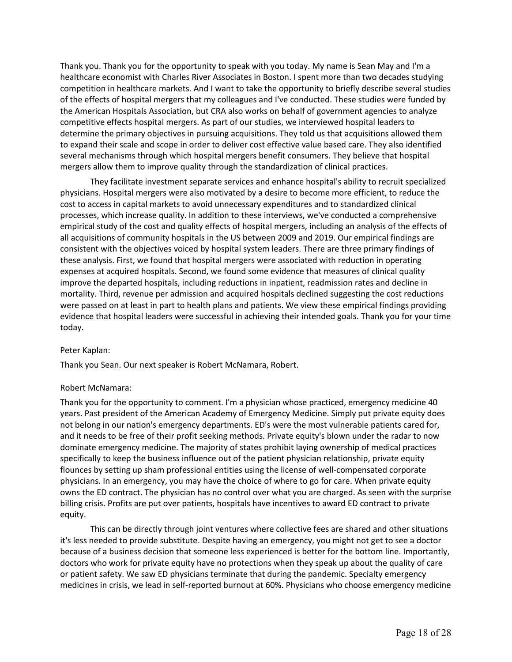Thank you. Thank you for the opportunity to speak with you today. My name is Sean May and I'm a healthcare economist with Charles River Associates in Boston. I spent more than two decades studying competition in healthcare markets. And I want to take the opportunity to briefly describe several studies of the effects of hospital mergers that my colleagues and I've conducted. These studies were funded by the American Hospitals Association, but CRA also works on behalf of government agencies to analyze competitive effects hospital mergers. As part of our studies, we interviewed hospital leaders to determine the primary objectives in pursuing acquisitions. They told us that acquisitions allowed them to expand their scale and scope in order to deliver cost effective value based care. They also identified several mechanisms through which hospital mergers benefit consumers. They believe that hospital mergers allow them to improve quality through the standardization of clinical practices.

 They facilitate investment separate services and enhance hospital's ability to recruit specialized physicians. Hospital mergers were also motivated by a desire to become more efficient, to reduce the processes, which increase quality. In addition to these interviews, we've conducted a comprehensive empirical study of the cost and quality effects of hospital mergers, including an analysis of the effects of all acquisitions of community hospitals in the US between 2009 and 2019. Our empirical findings are consistent with the objectives voiced by hospital system leaders. There are three primary findings of these analysis. First, we found that hospital mergers were associated with reduction in operating expenses at acquired hospitals. Second, we found some evidence that measures of clinical quality were passed on at least in part to health plans and patients. We view these empirical findings providing evidence that hospital leaders were successful in achieving their intended goals. Thank you for your time cost to access in capital markets to avoid unnecessary expenditures and to standardized clinical improve the departed hospitals, including reductions in inpatient, readmission rates and decline in mortality. Third, revenue per admission and acquired hospitals declined suggesting the cost reductions today.

# Peter Kaplan:

Thank you Sean. Our next speaker is Robert McNamara, Robert.

# Robert McNamara:

 Thank you for the opportunity to comment. I'm a physician whose practiced, emergency medicine 40 years. Past president of the American Academy of Emergency Medicine. Simply put private equity does not belong in our nation's emergency departments. ED's were the most vulnerable patients cared for, and it needs to be free of their profit seeking methods. Private equity's blown under the radar to now dominate emergency medicine. The majority of states prohibit laying ownership of medical practices specifically to keep the business influence out of the patient physician relationship, private equity flounces by setting up sham professional entities using the license of well-compensated corporate physicians. In an emergency, you may have the choice of where to go for care. When private equity owns the ED contract. The physician has no control over what you are charged. As seen with the surprise billing crisis. Profits are put over patients, hospitals have incentives to award ED contract to private equity.

 This can be directly through joint ventures where collective fees are shared and other situations it's less needed to provide substitute. Despite having an emergency, you might not get to see a doctor because of a business decision that someone less experienced is better for the bottom line. Importantly, doctors who work for private equity have no protections when they speak up about the quality of care or patient safety. We saw ED physicians terminate that during the pandemic. Specialty emergency medicines in crisis, we lead in self-reported burnout at 60%. Physicians who choose emergency medicine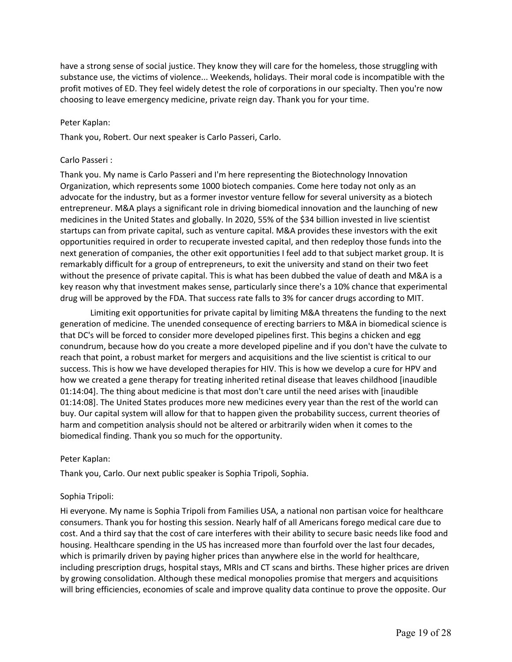have a strong sense of social justice. They know they will care for the homeless, those struggling with substance use, the victims of violence... Weekends, holidays. Their moral code is incompatible with the profit motives of ED. They feel widely detest the role of corporations in our specialty. Then you're now choosing to leave emergency medicine, private reign day. Thank you for your time.

## Peter Kaplan:

Thank you, Robert. Our next speaker is Carlo Passeri, Carlo.

# Carlo Passeri :

 Thank you. My name is Carlo Passeri and I'm here representing the Biotechnology Innovation Organization, which represents some 1000 biotech companies. Come here today not only as an advocate for the industry, but as a former investor venture fellow for several university as a biotech entrepreneur. M&A plays a significant role in driving biomedical innovation and the launching of new medicines in the United States and globally. In 2020, 55% of the \$34 billion invested in live scientist startups can from private capital, such as venture capital. M&A provides these investors with the exit next generation of companies, the other exit opportunities I feel add to that subject market group. It is without the presence of private capital. This is what has been dubbed the value of death and M&A is a key reason why that investment makes sense, particularly since there's a 10% chance that experimental drug will be approved by the FDA. That success rate falls to 3% for cancer drugs according to MIT. opportunities required in order to recuperate invested capital, and then redeploy those funds into the remarkably difficult for a group of entrepreneurs, to exit the university and stand on their two feet

 generation of medicine. The unended consequence of erecting barriers to M&A in biomedical science is that DC's will be forced to consider more developed pipelines first. This begins a chicken and egg conundrum, because how do you create a more developed pipeline and if you don't have the culvate to reach that point, a robust market for mergers and acquisitions and the live scientist is critical to our success. This is how we have developed therapies for HIV. This is how we develop a cure for HPV and how we created a gene therapy for treating inherited retinal disease that leaves childhood [inaudible 01:14:04]. The thing about medicine is that most don't care until the need arises with [inaudible 01:14:08]. The United States produces more new medicines every year than the rest of the world can buy. Our capital system will allow for that to happen given the probability success, current theories of biomedical finding. Thank you so much for the opportunity. Limiting exit opportunities for private capital by limiting M&A threatens the funding to the next harm and competition analysis should not be altered or arbitrarily widen when it comes to the

## Peter Kaplan:

Thank you, Carlo. Our next public speaker is Sophia Tripoli, Sophia.

## Sophia Tripoli:

 Hi everyone. My name is Sophia Tripoli from Families USA, a national non partisan voice for healthcare consumers. Thank you for hosting this session. Nearly half of all Americans forego medical care due to cost. And a third say that the cost of care interferes with their ability to secure basic needs like food and housing. Healthcare spending in the US has increased more than fourfold over the last four decades, which is primarily driven by paying higher prices than anywhere else in the world for healthcare, by growing consolidation. Although these medical monopolies promise that mergers and acquisitions will bring efficiencies, economies of scale and improve quality data continue to prove the opposite. Our including prescription drugs, hospital stays, MRIs and CT scans and births. These higher prices are driven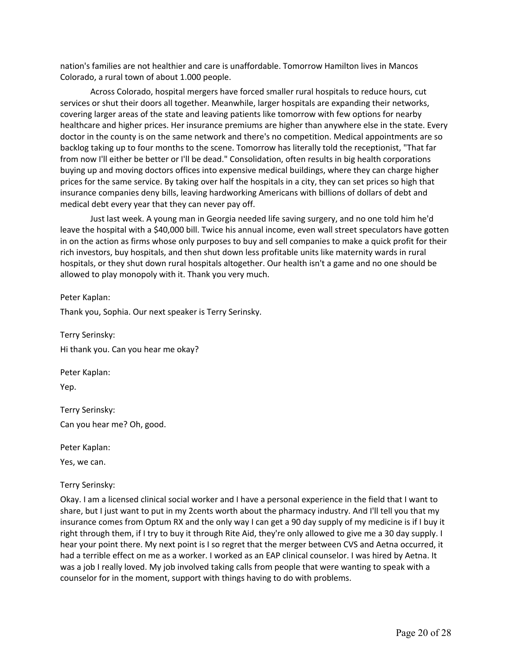nation's families are not healthier and care is unaffordable. Tomorrow Hamilton lives in Mancos Colorado, a rural town of about 1.000 people.

 Across Colorado, hospital mergers have forced smaller rural hospitals to reduce hours, cut services or shut their doors all together. Meanwhile, larger hospitals are expanding their networks, covering larger areas of the state and leaving patients like tomorrow with few options for nearby healthcare and higher prices. Her insurance premiums are higher than anywhere else in the state. Every doctor in the county is on the same network and there's no competition. Medical appointments are so backlog taking up to four months to the scene. Tomorrow has literally told the receptionist, "That far prices for the same service. By taking over half the hospitals in a city, they can set prices so high that insurance companies deny bills, leaving hardworking Americans with billions of dollars of debt and medical debt every year that they can never pay off. from now I'll either be better or I'll be dead." Consolidation, often results in big health corporations buying up and moving doctors offices into expensive medical buildings, where they can charge higher

 Just last week. A young man in Georgia needed life saving surgery, and no one told him he'd rich investors, buy hospitals, and then shut down less profitable units like maternity wards in rural hospitals, or they shut down rural hospitals altogether. Our health isn't a game and no one should be leave the hospital with a \$40,000 bill. Twice his annual income, even wall street speculators have gotten in on the action as firms whose only purposes to buy and sell companies to make a quick profit for their allowed to play monopoly with it. Thank you very much.

Peter Kaplan:

Thank you, Sophia. Our next speaker is Terry Serinsky.

 Hi thank you. Can you hear me okay? Terry Serinsky:

Peter Kaplan: Yep.

Terry Serinsky: Can you hear me? Oh, good.

Peter Kaplan:

Yes, we can.

# Terry Serinsky:

 Okay. I am a licensed clinical social worker and I have a personal experience in the field that I want to share, but I just want to put in my 2cents worth about the pharmacy industry. And I'll tell you that my right through them, if I try to buy it through Rite Aid, they're only allowed to give me a 30 day supply. I hear your point there. My next point is I so regret that the merger between CVS and Aetna occurred, it had a terrible effect on me as a worker. I worked as an EAP clinical counselor. I was hired by Aetna. It was a job I really loved. My job involved taking calls from people that were wanting to speak with a insurance comes from Optum RX and the only way I can get a 90 day supply of my medicine is if I buy it counselor for in the moment, support with things having to do with problems.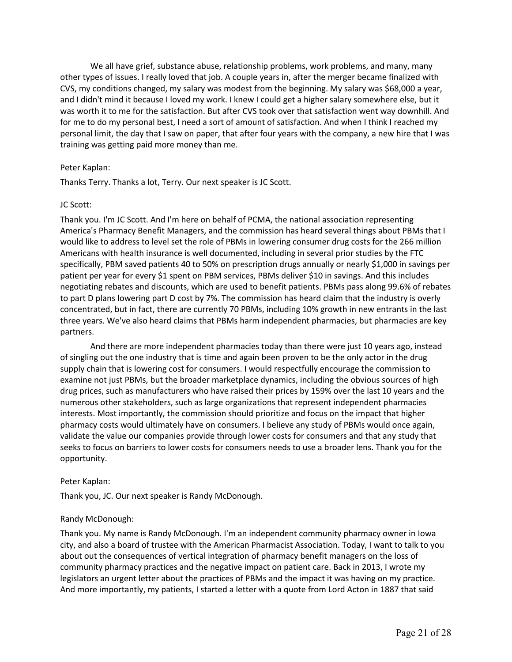We all have grief, substance abuse, relationship problems, work problems, and many, many other types of issues. I really loved that job. A couple years in, after the merger became finalized with CVS, my conditions changed, my salary was modest from the beginning. My salary was \$68,000 a year, and I didn't mind it because I loved my work. I knew I could get a higher salary somewhere else, but it was worth it to me for the satisfaction. But after CVS took over that satisfaction went way downhill. And personal limit, the day that I saw on paper, that after four years with the company, a new hire that I was training was getting paid more money than me. for me to do my personal best, I need a sort of amount of satisfaction. And when I think I reached my

# Peter Kaplan:

Thanks Terry. Thanks a lot, Terry. Our next speaker is JC Scott.

# JC Scott:

 Thank you. I'm JC Scott. And I'm here on behalf of PCMA, the national association representing America's Pharmacy Benefit Managers, and the commission has heard several things about PBMs that I would like to address to level set the role of PBMs in lowering consumer drug costs for the 266 million Americans with health insurance is well documented, including in several prior studies by the FTC specifically, PBM saved patients 40 to 50% on prescription drugs annually or nearly \$1,000 in savings per patient per year for every \$1 spent on PBM services, PBMs deliver \$10 in savings. And this includes negotiating rebates and discounts, which are used to benefit patients. PBMs pass along 99.6% of rebates to part D plans lowering part D cost by 7%. The commission has heard claim that the industry is overly concentrated, but in fact, there are currently 70 PBMs, including 10% growth in new entrants in the last three years. We've also heard claims that PBMs harm independent pharmacies, but pharmacies are key partners.

 And there are more independent pharmacies today than there were just 10 years ago, instead of singling out the one industry that is time and again been proven to be the only actor in the drug supply chain that is lowering cost for consumers. I would respectfully encourage the commission to examine not just PBMs, but the broader marketplace dynamics, including the obvious sources of high drug prices, such as manufacturers who have raised their prices by 159% over the last 10 years and the pharmacy costs would ultimately have on consumers. I believe any study of PBMs would once again, validate the value our companies provide through lower costs for consumers and that any study that seeks to focus on barriers to lower costs for consumers needs to use a broader lens. Thank you for the numerous other stakeholders, such as large organizations that represent independent pharmacies interests. Most importantly, the commission should prioritize and focus on the impact that higher opportunity.

## Peter Kaplan:

Thank you, JC. Our next speaker is Randy McDonough.

## Randy McDonough:

 Thank you. My name is Randy McDonough. I'm an independent community pharmacy owner in Iowa city, and also a board of trustee with the American Pharmacist Association. Today, I want to talk to you about out the consequences of vertical integration of pharmacy benefit managers on the loss of community pharmacy practices and the negative impact on patient care. Back in 2013, I wrote my legislators an urgent letter about the practices of PBMs and the impact it was having on my practice. And more importantly, my patients, I started a letter with a quote from Lord Acton in 1887 that said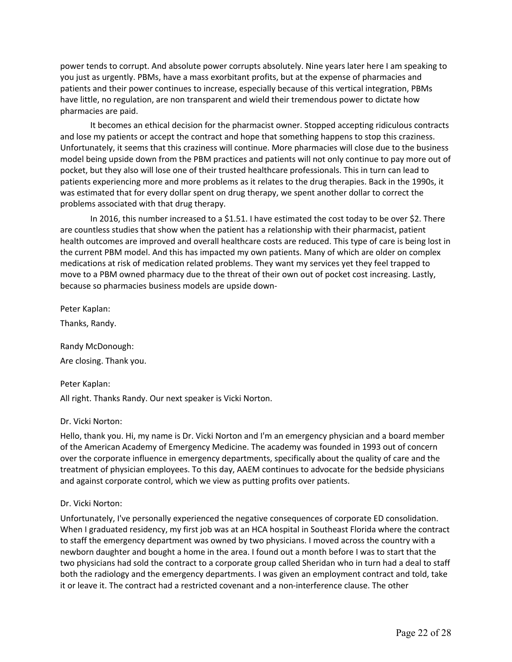power tends to corrupt. And absolute power corrupts absolutely. Nine years later here I am speaking to you just as urgently. PBMs, have a mass exorbitant profits, but at the expense of pharmacies and patients and their power continues to increase, especially because of this vertical integration, PBMs have little, no regulation, are non transparent and wield their tremendous power to dictate how pharmacies are paid.

 Unfortunately, it seems that this craziness will continue. More pharmacies will close due to the business model being upside down from the PBM practices and patients will not only continue to pay more out of pocket, but they also will lose one of their trusted healthcare professionals. This in turn can lead to patients experiencing more and more problems as it relates to the drug therapies. Back in the 1990s, it was estimated that for every dollar spent on drug therapy, we spent another dollar to correct the It becomes an ethical decision for the pharmacist owner. Stopped accepting ridiculous contracts and lose my patients or accept the contract and hope that something happens to stop this craziness. problems associated with that drug therapy.

 are countless studies that show when the patient has a relationship with their pharmacist, patient the current PBM model. And this has impacted my own patients. Many of which are older on complex medications at risk of medication related problems. They want my services yet they feel trapped to move to a PBM owned pharmacy due to the threat of their own out of pocket cost increasing. Lastly, because so pharmacies business models are upside down-In 2016, this number increased to a \$1.51. I have estimated the cost today to be over \$2. There health outcomes are improved and overall healthcare costs are reduced. This type of care is being lost in

Peter Kaplan:

Thanks, Randy.

Randy McDonough: Are closing. Thank you.

# Peter Kaplan:

All right. Thanks Randy. Our next speaker is Vicki Norton.

# Dr. Vicki Norton:

 Hello, thank you. Hi, my name is Dr. Vicki Norton and I'm an emergency physician and a board member of the American Academy of Emergency Medicine. The academy was founded in 1993 out of concern over the corporate influence in emergency departments, specifically about the quality of care and the treatment of physician employees. To this day, AAEM continues to advocate for the bedside physicians and against corporate control, which we view as putting profits over patients.

# Dr. Vicki Norton:

 Unfortunately, I've personally experienced the negative consequences of corporate ED consolidation. When I graduated residency, my first job was at an HCA hospital in Southeast Florida where the contract to staff the emergency department was owned by two physicians. I moved across the country with a newborn daughter and bought a home in the area. I found out a month before I was to start that the two physicians had sold the contract to a corporate group called Sheridan who in turn had a deal to staff both the radiology and the emergency departments. I was given an employment contract and told, take it or leave it. The contract had a restricted covenant and a non-interference clause. The other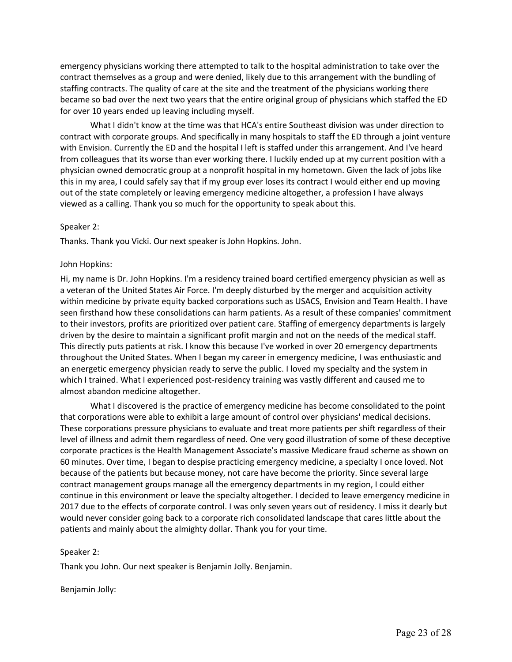emergency physicians working there attempted to talk to the hospital administration to take over the contract themselves as a group and were denied, likely due to this arrangement with the bundling of staffing contracts. The quality of care at the site and the treatment of the physicians working there became so bad over the next two years that the entire original group of physicians which staffed the ED for over 10 years ended up leaving including myself.

 What I didn't know at the time was that HCA's entire Southeast division was under direction to contract with corporate groups. And specifically in many hospitals to staff the ED through a joint venture with Envision. Currently the ED and the hospital I left is staffed under this arrangement. And I've heard from colleagues that its worse than ever working there. I luckily ended up at my current position with a physician owned democratic group at a nonprofit hospital in my hometown. Given the lack of jobs like this in my area, I could safely say that if my group ever loses its contract I would either end up moving out of the state completely or leaving emergency medicine altogether, a profession I have always viewed as a calling. Thank you so much for the opportunity to speak about this.

## Speaker 2:

Thanks. Thank you Vicki. Our next speaker is John Hopkins. John.

#### John Hopkins:

 Hi, my name is Dr. John Hopkins. I'm a residency trained board certified emergency physician as well as a veteran of the United States Air Force. I'm deeply disturbed by the merger and acquisition activity within medicine by private equity backed corporations such as USACS, Envision and Team Health. I have seen firsthand how these consolidations can harm patients. As a result of these companies' commitment to their investors, profits are prioritized over patient care. Staffing of emergency departments is largely driven by the desire to maintain a significant profit margin and not on the needs of the medical staff. This directly puts patients at risk. I know this because I've worked in over 20 emergency departments an energetic emergency physician ready to serve the public. I loved my specialty and the system in which I trained. What I experienced post-residency training was vastly different and caused me to throughout the United States. When I began my career in emergency medicine, I was enthusiastic and almost abandon medicine altogether.

 What I discovered is the practice of emergency medicine has become consolidated to the point that corporations were able to exhibit a large amount of control over physicians' medical decisions. corporate practices is the Health Management Associate's massive Medicare fraud scheme as shown on 60 minutes. Over time, I began to despise practicing emergency medicine, a specialty I once loved. Not because of the patients but because money, not care have become the priority. Since several large contract management groups manage all the emergency departments in my region, I could either continue in this environment or leave the specialty altogether. I decided to leave emergency medicine in 2017 due to the effects of corporate control. I was only seven years out of residency. I miss it dearly but would never consider going back to a corporate rich consolidated landscape that cares little about the patients and mainly about the almighty dollar. Thank you for your time. These corporations pressure physicians to evaluate and treat more patients per shift regardless of their level of illness and admit them regardless of need. One very good illustration of some of these deceptive

#### Speaker 2:

Thank you John. Our next speaker is Benjamin Jolly. Benjamin.

Benjamin Jolly: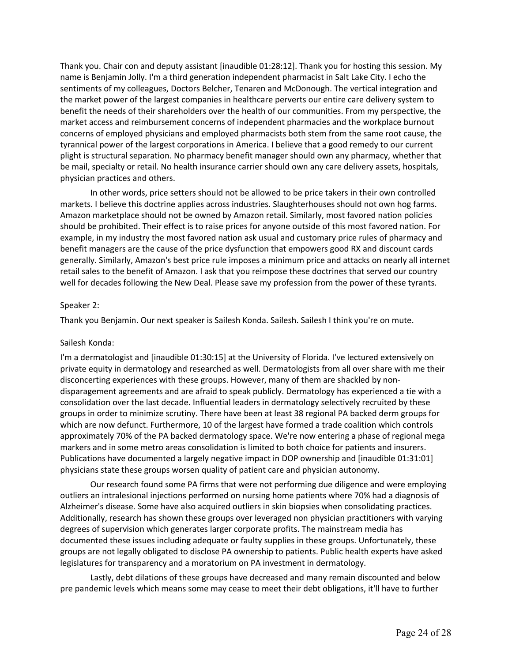Thank you. Chair con and deputy assistant [inaudible 01:28:12]. Thank you for hosting this session. My name is Benjamin Jolly. I'm a third generation independent pharmacist in Salt Lake City. I echo the sentiments of my colleagues, Doctors Belcher, Tenaren and McDonough. The vertical integration and the market power of the largest companies in healthcare perverts our entire care delivery system to benefit the needs of their shareholders over the health of our communities. From my perspective, the market access and reimbursement concerns of independent pharmacies and the workplace burnout concerns of employed physicians and employed pharmacists both stem from the same root cause, the tyrannical power of the largest corporations in America. I believe that a good remedy to our current plight is structural separation. No pharmacy benefit manager should own any pharmacy, whether that be mail, specialty or retail. No health insurance carrier should own any care delivery assets, hospitals, physician practices and others.

 markets. I believe this doctrine applies across industries. Slaughterhouses should not own hog farms. Amazon marketplace should not be owned by Amazon retail. Similarly, most favored nation policies should be prohibited. Their effect is to raise prices for anyone outside of this most favored nation. For example, in my industry the most favored nation ask usual and customary price rules of pharmacy and benefit managers are the cause of the price dysfunction that empowers good RX and discount cards generally. Similarly, Amazon's best price rule imposes a minimum price and attacks on nearly all internet retail sales to the benefit of Amazon. I ask that you reimpose these doctrines that served our country well for decades following the New Deal. Please save my profession from the power of these tyrants. In other words, price setters should not be allowed to be price takers in their own controlled

## Speaker 2:

Thank you Benjamin. Our next speaker is Sailesh Konda. Sailesh. Sailesh I think you're on mute.

# Sailesh Konda:

 private equity in dermatology and researched as well. Dermatologists from all over share with me their disconcerting experiences with these groups. However, many of them are shackled by non- disparagement agreements and are afraid to speak publicly. Dermatology has experienced a tie with a consolidation over the last decade. Influential leaders in dermatology selectively recruited by these groups in order to minimize scrutiny. There have been at least 38 regional PA backed derm groups for which are now defunct. Furthermore, 10 of the largest have formed a trade coalition which controls approximately 70% of the PA backed dermatology space. We're now entering a phase of regional mega markers and in some metro areas consolidation is limited to both choice for patients and insurers. Publications have documented a largely negative impact in DOP ownership and [inaudible 01:31:01] physicians state these groups worsen quality of patient care and physician autonomy. I'm a dermatologist and [inaudible 01:30:15] at the University of Florida. I've lectured extensively on

 Our research found some PA firms that were not performing due diligence and were employing outliers an intralesional injections performed on nursing home patients where 70% had a diagnosis of Alzheimer's disease. Some have also acquired outliers in skin biopsies when consolidating practices. Additionally, research has shown these groups over leveraged non physician practitioners with varying degrees of supervision which generates larger corporate profits. The mainstream media has documented these issues including adequate or faulty supplies in these groups. Unfortunately, these groups are not legally obligated to disclose PA ownership to patients. Public health experts have asked legislatures for transparency and a moratorium on PA investment in dermatology.

Lastly, debt dilations of these groups have decreased and many remain discounted and below pre pandemic levels which means some may cease to meet their debt obligations, it'll have to further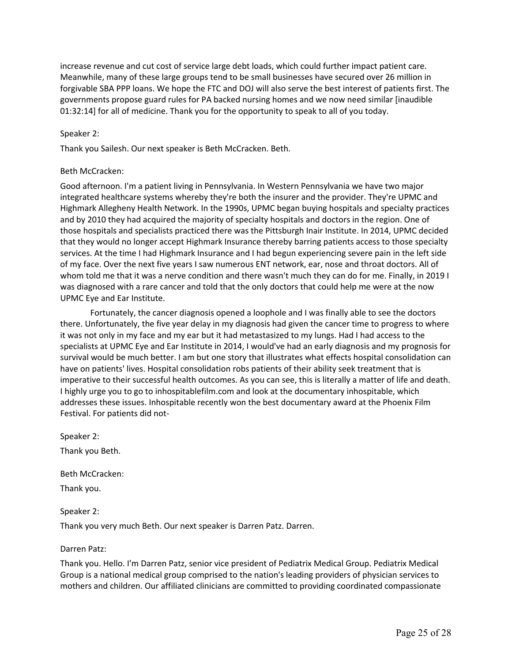Meanwhile, many of these large groups tend to be small businesses have secured over 26 million in governments propose guard rules for PA backed nursing homes and we now need similar [inaudible 01:32:14] for all of medicine. Thank you for the opportunity to speak to all of you today. increase revenue and cut cost of service large debt loads, which could further impact patient care. forgivable SBA PPP loans. We hope the FTC and DOJ will also serve the best interest of patients first. The

# Speaker 2:

Thank you Sailesh. Our next speaker is Beth McCracken. Beth.

# Beth McCracken:

 Good afternoon. I'm a patient living in Pennsylvania. In Western Pennsylvania we have two major integrated healthcare systems whereby they're both the insurer and the provider. They're UPMC and Highmark Allegheny Health Network. In the 1990s, UPMC began buying hospitals and specialty practices and by 2010 they had acquired the majority of specialty hospitals and doctors in the region. One of those hospitals and specialists practiced there was the Pittsburgh Inair Institute. In 2014, UPMC decided that they would no longer accept Highmark Insurance thereby barring patients access to those specialty services. At the time I had Highmark Insurance and I had begun experiencing severe pain in the left side of my face. Over the next five years I saw numerous ENT network, ear, nose and throat doctors. All of whom told me that it was a nerve condition and there wasn't much they can do for me. Finally, in 2019 I was diagnosed with a rare cancer and told that the only doctors that could help me were at the now UPMC Eye and Ear Institute.

 Fortunately, the cancer diagnosis opened a loophole and I was finally able to see the doctors there. Unfortunately, the five year delay in my diagnosis had given the cancer time to progress to where specialists at UPMC Eye and Ear Institute in 2014, I would've had an early diagnosis and my prognosis for survival would be much better. I am but one story that illustrates what effects hospital consolidation can have on patients' lives. Hospital consolidation robs patients of their ability seek treatment that is addresses these issues. Inhospitable recently won the best documentary award at the Phoenix Film it was not only in my face and my ear but it had metastasized to my lungs. Had I had access to the imperative to their successful health outcomes. As you can see, this is literally a matter of life and death. I highly urge you to go to [inhospitablefilm.com](https://inhospitablefilm.com) and look at the documentary inhospitable, which Festival. For patients did not-

Speaker 2:

Thank you Beth.

Beth McCracken:

Thank you.

Speaker 2:

Thank you very much Beth. Our next speaker is Darren Patz. Darren.

## Darren Patz:

 Thank you. Hello. I'm Darren Patz, senior vice president of Pediatrix Medical Group. Pediatrix Medical Group is a national medical group comprised to the nation's leading providers of physician services to mothers and children. Our affiliated clinicians are committed to providing coordinated compassionate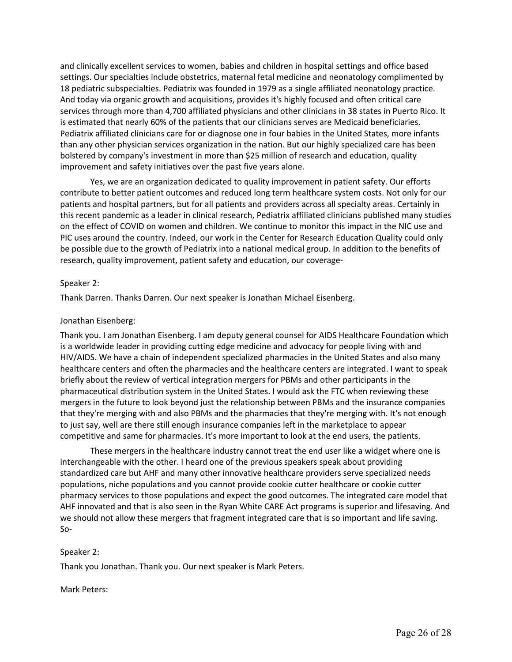settings. Our specialties include obstetrics, maternal fetal medicine and neonatology complimented by 18 pediatric subspecialties. Pediatrix was founded in 1979 as a single affiliated neonatology practice. And today via organic growth and acquisitions, provides it's highly focused and often critical care services through more than 4,700 affiliated physicians and other clinicians in 38 states in Puerto Rico. It Pediatrix affiliated clinicians care for or diagnose one in four babies in the United States, more infants than any other physician services organization in the nation. But our highly specialized care has been bolstered by company's investment in more than \$25 million of research and education, quality and clinically excellent services to women, babies and children in hospital settings and office based is estimated that nearly 60% of the patients that our clinicians serves are Medicaid beneficiaries. improvement and safety initiatives over the past five years alone.

 Yes, we are an organization dedicated to quality improvement in patient safety. Our efforts contribute to better patient outcomes and reduced long term healthcare system costs. Not only for our on the effect of COVID on women and children. We continue to monitor this impact in the NIC use and PIC uses around the country. Indeed, our work in the Center for Research Education Quality could only be possible due to the growth of Pediatrix into a national medical group. In addition to the benefits of patients and hospital partners, but for all patients and providers across all specialty areas. Certainly in this recent pandemic as a leader in clinical research, Pediatrix affiliated clinicians published many studies research, quality improvement, patient safety and education, our coverage-

# Speaker 2:

Thank Darren. Thanks Darren. Our next speaker is Jonathan Michael Eisenberg.

# Jonathan Eisenberg:

 Thank you. I am Jonathan Eisenberg. I am deputy general counsel for AIDS Healthcare Foundation which is a worldwide leader in providing cutting edge medicine and advocacy for people living with and HIV/AIDS. We have a chain of independent specialized pharmacies in the United States and also many healthcare centers and often the pharmacies and the healthcare centers are integrated. I want to speak briefly about the review of vertical integration mergers for PBMs and other participants in the pharmaceutical distribution system in the United States. I would ask the FTC when reviewing these mergers in the future to look beyond just the relationship between PBMs and the insurance companies that they're merging with and also PBMs and the pharmacies that they're merging with. It's not enough to just say, well are there still enough insurance companies left in the marketplace to appear competitive and same for pharmacies. It's more important to look at the end users, the patients.

 These mergers in the healthcare industry cannot treat the end user like a widget where one is standardized care but AHF and many other innovative healthcare providers serve specialized needs populations, niche populations and you cannot provide cookie cutter healthcare or cookie cutter AHF innovated and that is also seen in the Ryan White CARE Act programs is superior and lifesaving. And we should not allow these mergers that fragment integrated care that is so important and life saving. interchangeable with the other. I heard one of the previous speakers speak about providing pharmacy services to those populations and expect the good outcomes. The integrated care model that So-

## Speaker 2:

Thank you Jonathan. Thank you. Our next speaker is Mark Peters.

Mark Peters: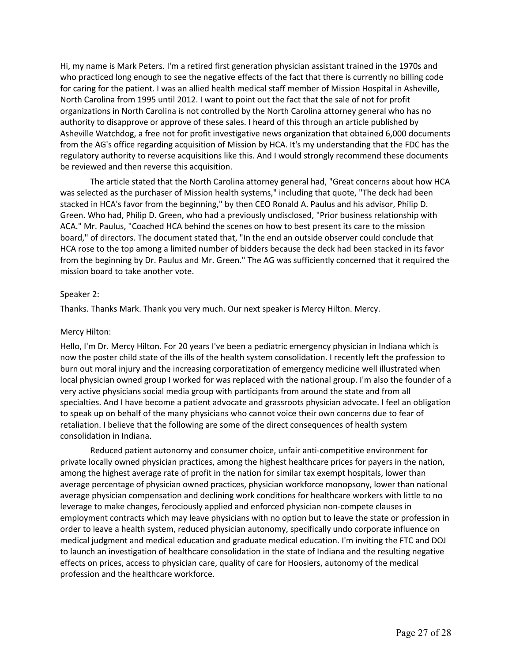Hi, my name is Mark Peters. I'm a retired first generation physician assistant trained in the 1970s and who practiced long enough to see the negative effects of the fact that there is currently no billing code North Carolina from 1995 until 2012. I want to point out the fact that the sale of not for profit authority to disapprove or approve of these sales. I heard of this through an article published by Asheville Watchdog, a free not for profit investigative news organization that obtained 6,000 documents regulatory authority to reverse acquisitions like this. And I would strongly recommend these documents for caring for the patient. I was an allied health medical staff member of Mission Hospital in Asheville, organizations in North Carolina is not controlled by the North Carolina attorney general who has no from the AG's office regarding acquisition of Mission by HCA. It's my understanding that the FDC has the be reviewed and then reverse this acquisition.

 The article stated that the North Carolina attorney general had, "Great concerns about how HCA was selected as the purchaser of Mission health systems," including that quote, "The deck had been stacked in HCA's favor from the beginning," by then CEO Ronald A. Paulus and his advisor, Philip D. Green. Who had, Philip D. Green, who had a previously undisclosed, "Prior business relationship with ACA." Mr. Paulus, "Coached HCA behind the scenes on how to best present its care to the mission board," of directors. The document stated that, "In the end an outside observer could conclude that HCA rose to the top among a limited number of bidders because the deck had been stacked in its favor from the beginning by Dr. Paulus and Mr. Green." The AG was sufficiently concerned that it required the mission board to take another vote.

# Speaker 2:

Thanks. Thanks Mark. Thank you very much. Our next speaker is Mercy Hilton. Mercy.

## Mercy Hilton:

 Hello, I'm Dr. Mercy Hilton. For 20 years I've been a pediatric emergency physician in Indiana which is now the poster child state of the ills of the health system consolidation. I recently left the profession to burn out moral injury and the increasing corporatization of emergency medicine well illustrated when very active physicians social media group with participants from around the state and from all specialties. And I have become a patient advocate and grassroots physician advocate. I feel an obligation to speak up on behalf of the many physicians who cannot voice their own concerns due to fear of retaliation. I believe that the following are some of the direct consequences of health system local physician owned group I worked for was replaced with the national group. I'm also the founder of a consolidation in Indiana.

 Reduced patient autonomy and consumer choice, unfair anti-competitive environment for private locally owned physician practices, among the highest healthcare prices for payers in the nation, among the highest average rate of profit in the nation for similar tax exempt hospitals, lower than average percentage of physician owned practices, physician workforce monopsony, lower than national average physician compensation and declining work conditions for healthcare workers with little to no employment contracts which may leave physicians with no option but to leave the state or profession in order to leave a health system, reduced physician autonomy, specifically undo corporate influence on medical judgment and medical education and graduate medical education. I'm inviting the FTC and DOJ to launch an investigation of healthcare consolidation in the state of Indiana and the resulting negative effects on prices, access to physician care, quality of care for Hoosiers, autonomy of the medical profession and the healthcare workforce. leverage to make changes, ferociously applied and enforced physician non-compete clauses in